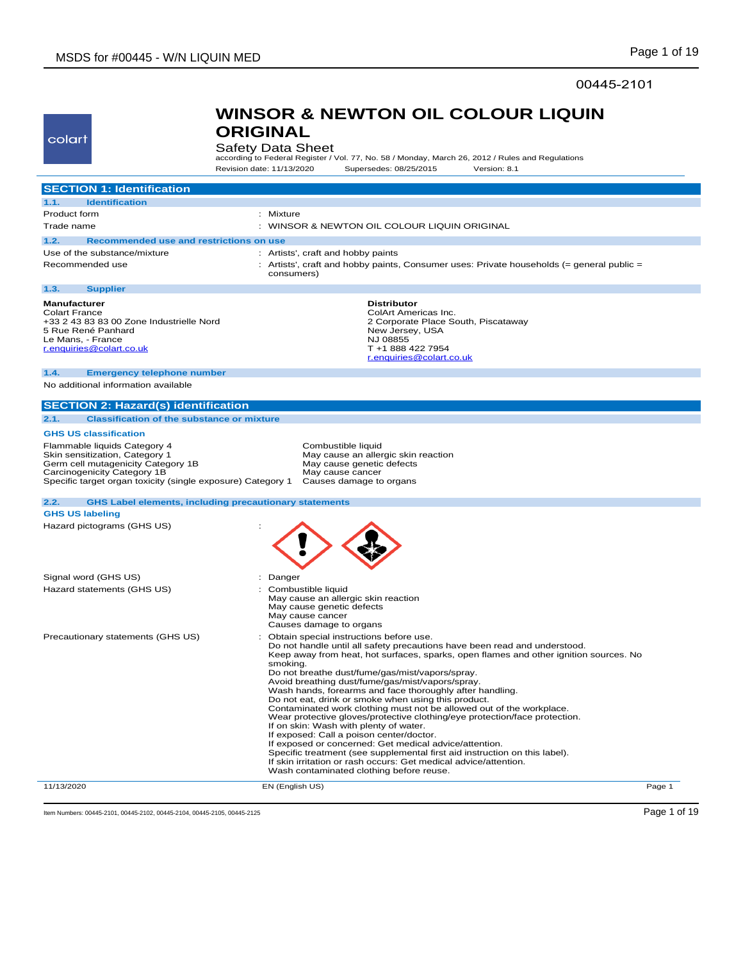### 00445-2101

## colart

### **WINSOR & NEWTON OIL COLOUR LIQUIN ORIGINAL**

Safety Data Sheet<br>according to Federal Register / Vol. 77, No. 58 / Monday, March 26, 2012 / Rules and Regulations Revision date: 11/13/2020 Supersedes: 08/25/2015 Version: 8.1

| <b>SECTION 1: Identification</b>                                                                                                                                                                   |                                                                                                                                                                                                                                                                                                                                                                                                                                                                                                                                                                                                                                                                                                                                                                                                                                                                                                                                                         |
|----------------------------------------------------------------------------------------------------------------------------------------------------------------------------------------------------|---------------------------------------------------------------------------------------------------------------------------------------------------------------------------------------------------------------------------------------------------------------------------------------------------------------------------------------------------------------------------------------------------------------------------------------------------------------------------------------------------------------------------------------------------------------------------------------------------------------------------------------------------------------------------------------------------------------------------------------------------------------------------------------------------------------------------------------------------------------------------------------------------------------------------------------------------------|
| 1.1.<br><b>Identification</b>                                                                                                                                                                      |                                                                                                                                                                                                                                                                                                                                                                                                                                                                                                                                                                                                                                                                                                                                                                                                                                                                                                                                                         |
| Product form                                                                                                                                                                                       | : Mixture                                                                                                                                                                                                                                                                                                                                                                                                                                                                                                                                                                                                                                                                                                                                                                                                                                                                                                                                               |
| Trade name                                                                                                                                                                                         | : WINSOR & NEWTON OIL COLOUR LIQUIN ORIGINAL                                                                                                                                                                                                                                                                                                                                                                                                                                                                                                                                                                                                                                                                                                                                                                                                                                                                                                            |
| Recommended use and restrictions on use<br>1.2.                                                                                                                                                    |                                                                                                                                                                                                                                                                                                                                                                                                                                                                                                                                                                                                                                                                                                                                                                                                                                                                                                                                                         |
| Use of the substance/mixture                                                                                                                                                                       | : Artists', craft and hobby paints                                                                                                                                                                                                                                                                                                                                                                                                                                                                                                                                                                                                                                                                                                                                                                                                                                                                                                                      |
| Recommended use                                                                                                                                                                                    | : Artists', craft and hobby paints, Consumer uses: Private households (= general public =<br>consumers)                                                                                                                                                                                                                                                                                                                                                                                                                                                                                                                                                                                                                                                                                                                                                                                                                                                 |
| 1.3.<br><b>Supplier</b>                                                                                                                                                                            |                                                                                                                                                                                                                                                                                                                                                                                                                                                                                                                                                                                                                                                                                                                                                                                                                                                                                                                                                         |
| <b>Manufacturer</b><br><b>Colart France</b><br>+33 2 43 83 83 00 Zone Industrielle Nord<br>5 Rue René Panhard<br>Le Mans, - France<br>r.enquiries@colart.co.uk                                     | <b>Distributor</b><br>ColArt Americas Inc.<br>2 Corporate Place South, Piscataway<br>New Jersey, USA<br>NJ 08855<br>T +1 888 422 7954<br>r.enquiries@colart.co.uk                                                                                                                                                                                                                                                                                                                                                                                                                                                                                                                                                                                                                                                                                                                                                                                       |
| 1.4.<br><b>Emergency telephone number</b>                                                                                                                                                          |                                                                                                                                                                                                                                                                                                                                                                                                                                                                                                                                                                                                                                                                                                                                                                                                                                                                                                                                                         |
| No additional information available                                                                                                                                                                |                                                                                                                                                                                                                                                                                                                                                                                                                                                                                                                                                                                                                                                                                                                                                                                                                                                                                                                                                         |
| <b>SECTION 2: Hazard(s) identification</b>                                                                                                                                                         |                                                                                                                                                                                                                                                                                                                                                                                                                                                                                                                                                                                                                                                                                                                                                                                                                                                                                                                                                         |
| <b>Classification of the substance or mixture</b><br>2.1.                                                                                                                                          |                                                                                                                                                                                                                                                                                                                                                                                                                                                                                                                                                                                                                                                                                                                                                                                                                                                                                                                                                         |
| <b>GHS US classification</b>                                                                                                                                                                       |                                                                                                                                                                                                                                                                                                                                                                                                                                                                                                                                                                                                                                                                                                                                                                                                                                                                                                                                                         |
| Flammable liquids Category 4<br>Skin sensitization, Category 1<br>Germ cell mutagenicity Category 1B<br>Carcinogenicity Category 1B<br>Specific target organ toxicity (single exposure) Category 1 | Combustible liquid<br>May cause an allergic skin reaction<br>May cause genetic defects<br>May cause cancer<br>Causes damage to organs                                                                                                                                                                                                                                                                                                                                                                                                                                                                                                                                                                                                                                                                                                                                                                                                                   |
| 2.2.<br><b>GHS Label elements, including precautionary statements</b><br><b>GHS US labeling</b>                                                                                                    |                                                                                                                                                                                                                                                                                                                                                                                                                                                                                                                                                                                                                                                                                                                                                                                                                                                                                                                                                         |
| Hazard pictograms (GHS US)                                                                                                                                                                         |                                                                                                                                                                                                                                                                                                                                                                                                                                                                                                                                                                                                                                                                                                                                                                                                                                                                                                                                                         |
|                                                                                                                                                                                                    |                                                                                                                                                                                                                                                                                                                                                                                                                                                                                                                                                                                                                                                                                                                                                                                                                                                                                                                                                         |
| Signal word (GHS US)                                                                                                                                                                               | : Danger                                                                                                                                                                                                                                                                                                                                                                                                                                                                                                                                                                                                                                                                                                                                                                                                                                                                                                                                                |
| Hazard statements (GHS US)                                                                                                                                                                         | Combustible liquid<br>May cause an allergic skin reaction<br>May cause genetic defects<br>May cause cancer<br>Causes damage to organs                                                                                                                                                                                                                                                                                                                                                                                                                                                                                                                                                                                                                                                                                                                                                                                                                   |
| Precautionary statements (GHS US)                                                                                                                                                                  | Obtain special instructions before use.<br>Do not handle until all safety precautions have been read and understood.<br>Keep away from heat, hot surfaces, sparks, open flames and other ignition sources. No<br>smokina.<br>Do not breathe dust/fume/gas/mist/vapors/spray.<br>Avoid breathing dust/fume/gas/mist/vapors/spray.<br>Wash hands, forearms and face thoroughly after handling.<br>Do not eat, drink or smoke when using this product.<br>Contaminated work clothing must not be allowed out of the workplace.<br>Wear protective gloves/protective clothing/eye protection/face protection.<br>If on skin: Wash with plenty of water.<br>If exposed: Call a poison center/doctor.<br>If exposed or concerned: Get medical advice/attention.<br>Specific treatment (see supplemental first aid instruction on this label).<br>If skin irritation or rash occurs: Get medical advice/attention.<br>Wash contaminated clothing before reuse. |
| 11/13/2020                                                                                                                                                                                         | EN (English US)<br>Page 1                                                                                                                                                                                                                                                                                                                                                                                                                                                                                                                                                                                                                                                                                                                                                                                                                                                                                                                               |

Item Numbers: 00445-2101, 00445-2102, 00445-2104, 00445-2105, 00445-2125 Page 1 of 19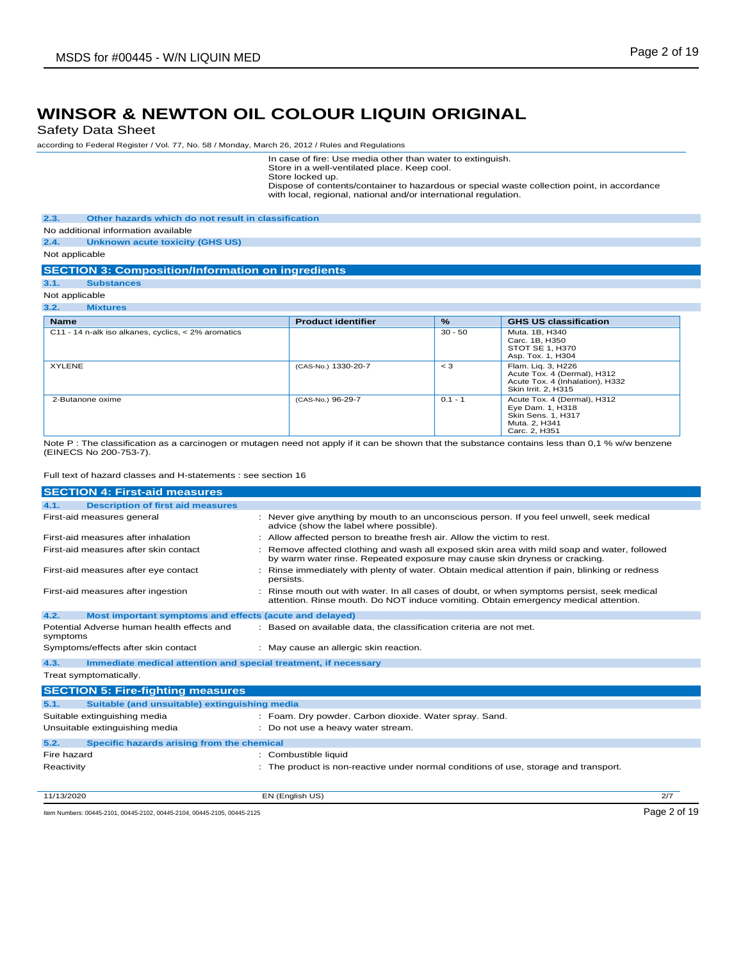Safety Data Sheet

according to Federal Register / Vol. 77, No. 58 / Monday, March 26, 2012 / Rules and Regulations

In case of fire: Use media other than water to extinguish.

Store in a well-ventilated place. Keep cool. Store locked up.

Dispose of contents/container to hazardous or special waste collection point, in accordance with local, regional, national and/or international regulation.

**2.3. Other hazards which do not result in classification**

No additional information available

**2.4. Unknown acute toxicity (GHS US)**

Not applicable

**SECTION 3: Composition/Information on ingredients**

**3.1. Substances** Not applicable

| 3.2.<br><b>Mixtures</b>                             |                           |               |                                                                                                             |
|-----------------------------------------------------|---------------------------|---------------|-------------------------------------------------------------------------------------------------------------|
| <b>Name</b>                                         | <b>Product identifier</b> | $\frac{9}{6}$ | <b>GHS US classification</b>                                                                                |
| C11 - 14 n-alk iso alkanes, cyclics, < 2% aromatics |                           | $30 - 50$     | Muta. 1B, H340<br>Carc, 1B, H350<br>STOT SE 1, H370<br>Asp. Tox. 1, H304                                    |
| <b>XYLENE</b>                                       | (CAS-No.) 1330-20-7       | $<$ 3         | Flam. Lig. 3, H226<br>Acute Tox. 4 (Dermal), H312<br>Acute Tox. 4 (Inhalation), H332<br>Skin Irrit. 2, H315 |
| 2-Butanone oxime                                    | (CAS-No.) 96-29-7         | $0.1 - 1$     | Acute Tox. 4 (Dermal), H312<br>Eye Dam. 1, H318<br>Skin Sens. 1, H317<br>Muta. 2, H341<br>Carc. 2. H351     |

Note P : The classification as a carcinogen or mutagen need not apply if it can be shown that the substance contains less than 0,1 % w/w benzene (EINECS No 200-753-7).

Full text of hazard classes and H-statements : see section 16

| <b>SECTION 4: First-aid measures</b>                                    |                                                                                                                                                                                    |     |  |
|-------------------------------------------------------------------------|------------------------------------------------------------------------------------------------------------------------------------------------------------------------------------|-----|--|
| <b>Description of first aid measures</b><br>4.1.                        |                                                                                                                                                                                    |     |  |
| First-aid measures general                                              | : Never give anything by mouth to an unconscious person. If you feel unwell, seek medical<br>advice (show the label where possible).                                               |     |  |
| First-aid measures after inhalation                                     | : Allow affected person to breathe fresh air. Allow the victim to rest.                                                                                                            |     |  |
| First-aid measures after skin contact                                   | : Remove affected clothing and wash all exposed skin area with mild soap and water, followed<br>by warm water rinse. Repeated exposure may cause skin dryness or cracking.         |     |  |
| First-aid measures after eye contact                                    | : Rinse immediately with plenty of water. Obtain medical attention if pain, blinking or redness<br>persists.                                                                       |     |  |
| First-aid measures after ingestion                                      | : Rinse mouth out with water. In all cases of doubt, or when symptoms persist, seek medical<br>attention. Rinse mouth. Do NOT induce vomiting. Obtain emergency medical attention. |     |  |
| 4.2.<br>Most important symptoms and effects (acute and delayed)         |                                                                                                                                                                                    |     |  |
| Potential Adverse human health effects and<br>symptoms                  | : Based on available data, the classification criteria are not met.                                                                                                                |     |  |
| Symptoms/effects after skin contact                                     | : May cause an allergic skin reaction.                                                                                                                                             |     |  |
| 4.3.<br>Immediate medical attention and special treatment, if necessary |                                                                                                                                                                                    |     |  |
| Treat symptomatically.                                                  |                                                                                                                                                                                    |     |  |
| <b>SECTION 5: Fire-fighting measures</b>                                |                                                                                                                                                                                    |     |  |
| Suitable (and unsuitable) extinguishing media<br>5.1.                   |                                                                                                                                                                                    |     |  |
| Suitable extinguishing media                                            | : Foam. Dry powder. Carbon dioxide. Water spray. Sand.                                                                                                                             |     |  |
| Unsuitable extinguishing media                                          | : Do not use a heavy water stream.                                                                                                                                                 |     |  |
| Specific hazards arising from the chemical<br>5.2.                      |                                                                                                                                                                                    |     |  |
| Fire hazard                                                             | : Combustible liquid                                                                                                                                                               |     |  |
| Reactivity                                                              | : The product is non-reactive under normal conditions of use, storage and transport.                                                                                               |     |  |
| 11/13/2020                                                              | EN (English US)                                                                                                                                                                    | 2/7 |  |

Item Numbers: 00445-2101, 00445-2102, 00445-2104, 00445-2105, 00445-2125 Page 2 of 19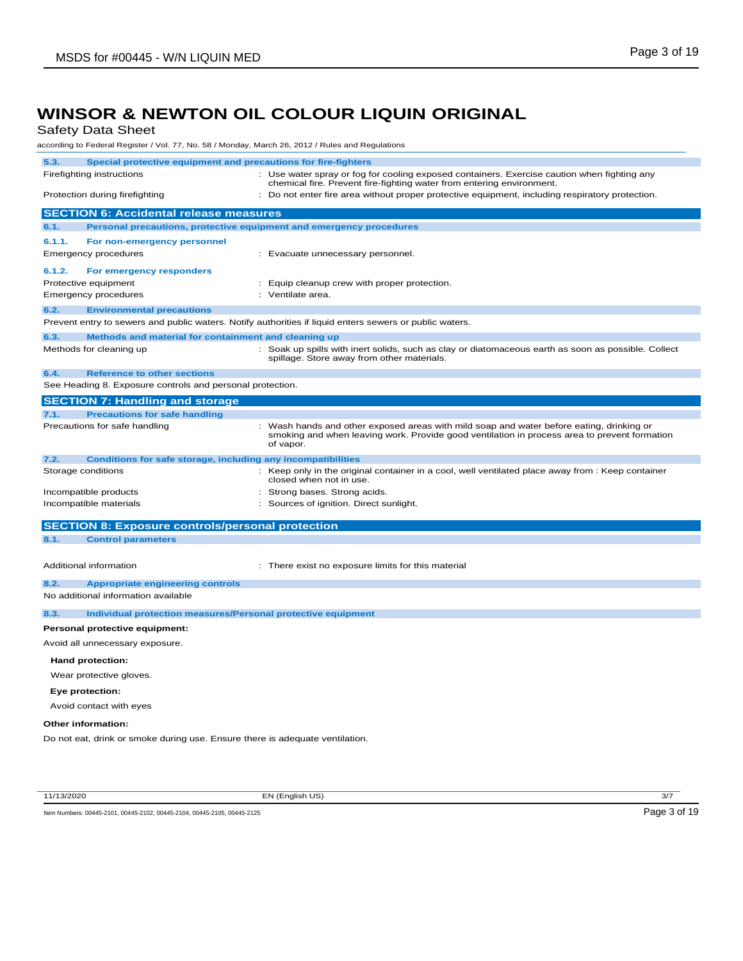Safety Data Sheet

according to Federal Register / Vol. 77, No. 58 / Monday, March 26, 2012 / Rules and Regulations

| 5.3.                                                                        | Special protective equipment and precautions for fire-fighters               |                                                                                                                                                                                                       |  |  |
|-----------------------------------------------------------------------------|------------------------------------------------------------------------------|-------------------------------------------------------------------------------------------------------------------------------------------------------------------------------------------------------|--|--|
|                                                                             | Firefighting instructions                                                    | : Use water spray or fog for cooling exposed containers. Exercise caution when fighting any<br>chemical fire. Prevent fire-fighting water from entering environment.                                  |  |  |
|                                                                             | Protection during firefighting                                               | Do not enter fire area without proper protective equipment, including respiratory protection.                                                                                                         |  |  |
|                                                                             | <b>SECTION 6: Accidental release measures</b>                                |                                                                                                                                                                                                       |  |  |
| 6.1.                                                                        | Personal precautions, protective equipment and emergency procedures          |                                                                                                                                                                                                       |  |  |
| 6.1.1.                                                                      | For non-emergency personnel                                                  |                                                                                                                                                                                                       |  |  |
|                                                                             | <b>Emergency procedures</b>                                                  | : Evacuate unnecessary personnel.                                                                                                                                                                     |  |  |
| 6.1.2.                                                                      | For emergency responders                                                     |                                                                                                                                                                                                       |  |  |
|                                                                             | Protective equipment                                                         | : Equip cleanup crew with proper protection.                                                                                                                                                          |  |  |
|                                                                             | <b>Emergency procedures</b>                                                  | : Ventilate area.                                                                                                                                                                                     |  |  |
| 6.2.                                                                        | <b>Environmental precautions</b>                                             |                                                                                                                                                                                                       |  |  |
|                                                                             |                                                                              | Prevent entry to sewers and public waters. Notify authorities if liquid enters sewers or public waters.                                                                                               |  |  |
| 6.3.                                                                        | Methods and material for containment and cleaning up                         |                                                                                                                                                                                                       |  |  |
|                                                                             | Methods for cleaning up                                                      | : Soak up spills with inert solids, such as clay or diatomaceous earth as soon as possible. Collect<br>spillage. Store away from other materials.                                                     |  |  |
| 6.4.                                                                        | <b>Reference to other sections</b>                                           |                                                                                                                                                                                                       |  |  |
|                                                                             | See Heading 8. Exposure controls and personal protection.                    |                                                                                                                                                                                                       |  |  |
|                                                                             | <b>SECTION 7: Handling and storage</b>                                       |                                                                                                                                                                                                       |  |  |
| 7.1.                                                                        | <b>Precautions for safe handling</b>                                         |                                                                                                                                                                                                       |  |  |
|                                                                             | Precautions for safe handling                                                | : Wash hands and other exposed areas with mild soap and water before eating, drinking or<br>smoking and when leaving work. Provide good ventilation in process area to prevent formation<br>of vapor. |  |  |
| 7.2.<br><b>Conditions for safe storage, including any incompatibilities</b> |                                                                              |                                                                                                                                                                                                       |  |  |
|                                                                             | Storage conditions                                                           | : Keep only in the original container in a cool, well ventilated place away from : Keep container<br>closed when not in use.                                                                          |  |  |
|                                                                             | Incompatible products                                                        | Strong bases. Strong acids.                                                                                                                                                                           |  |  |
|                                                                             | Incompatible materials                                                       | : Sources of ignition. Direct sunlight.                                                                                                                                                               |  |  |
|                                                                             | <b>SECTION 8: Exposure controls/personal protection</b>                      |                                                                                                                                                                                                       |  |  |
| 8.1.                                                                        | <b>Control parameters</b>                                                    |                                                                                                                                                                                                       |  |  |
|                                                                             |                                                                              |                                                                                                                                                                                                       |  |  |
|                                                                             | Additional information                                                       | : There exist no exposure limits for this material                                                                                                                                                    |  |  |
| 8.2.                                                                        | <b>Appropriate engineering controls</b>                                      |                                                                                                                                                                                                       |  |  |
|                                                                             | No additional information available                                          |                                                                                                                                                                                                       |  |  |
| 8.3.                                                                        | <b>Individual protection measures/Personal protective equipment</b>          |                                                                                                                                                                                                       |  |  |
|                                                                             | Personal protective equipment:                                               |                                                                                                                                                                                                       |  |  |
|                                                                             | Avoid all unnecessary exposure.                                              |                                                                                                                                                                                                       |  |  |
|                                                                             |                                                                              |                                                                                                                                                                                                       |  |  |
|                                                                             | Hand protection:                                                             |                                                                                                                                                                                                       |  |  |
|                                                                             | Wear protective gloves.                                                      |                                                                                                                                                                                                       |  |  |
|                                                                             | Eye protection:                                                              |                                                                                                                                                                                                       |  |  |
|                                                                             | Avoid contact with eyes                                                      |                                                                                                                                                                                                       |  |  |
|                                                                             | Other information:                                                           |                                                                                                                                                                                                       |  |  |
|                                                                             | Do not eat, drink or smoke during use. Ensure there is adequate ventilation. |                                                                                                                                                                                                       |  |  |
|                                                                             |                                                                              |                                                                                                                                                                                                       |  |  |
|                                                                             |                                                                              |                                                                                                                                                                                                       |  |  |

11/13/2020 EN (English US) 3/7

Item Numbers: 00445-2101, 00445-2102, 00445-2104, 00445-2105, 00445-2125 Page 3 of 19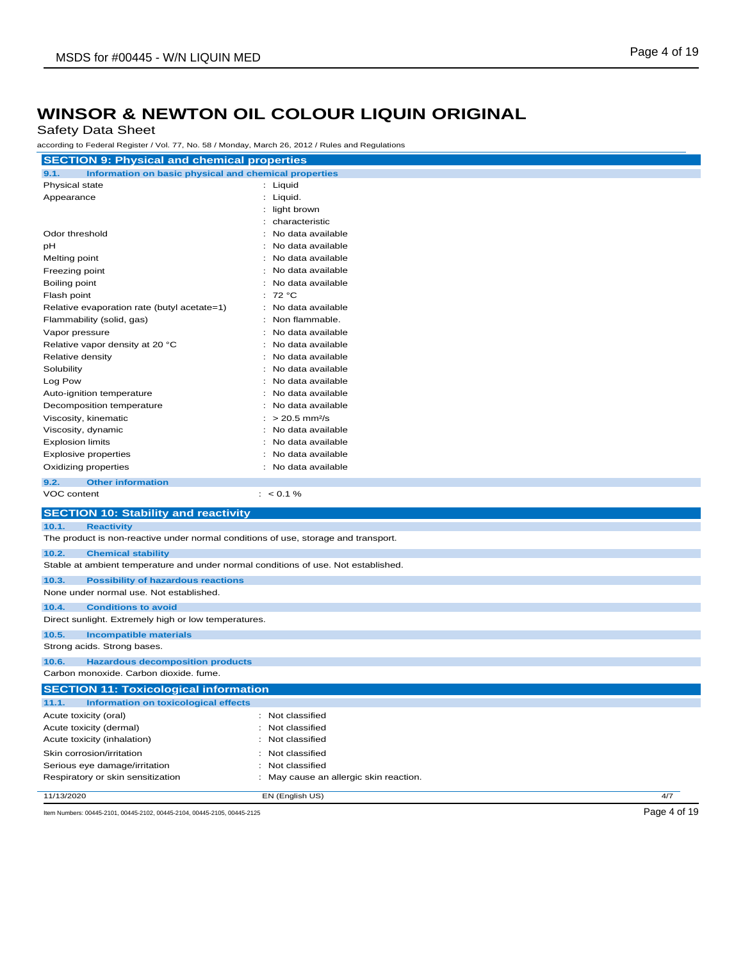Safety Data Sheet

according to Federal Register / Vol. 77, No. 58 / Monday, March 26, 2012 / Rules and Regulations

| <b>SECTION 9: Physical and chemical properties</b>                                 |                                        |              |
|------------------------------------------------------------------------------------|----------------------------------------|--------------|
| 9.1.<br>Information on basic physical and chemical properties                      |                                        |              |
| Physical state                                                                     | : Liquid                               |              |
| Appearance                                                                         | : Liquid.                              |              |
|                                                                                    | light brown                            |              |
|                                                                                    | characteristic                         |              |
| Odor threshold                                                                     | No data available                      |              |
| рH                                                                                 | No data available                      |              |
| Melting point                                                                      | No data available                      |              |
| Freezing point                                                                     | No data available                      |              |
| Boiling point                                                                      | No data available                      |              |
| Flash point                                                                        | 72 °C<br>÷                             |              |
| Relative evaporation rate (butyl acetate=1)                                        | No data available                      |              |
| Flammability (solid, gas)                                                          | Non flammable.<br>÷                    |              |
| Vapor pressure                                                                     | No data available                      |              |
| Relative vapor density at 20 °C                                                    | No data available                      |              |
| Relative density                                                                   | No data available                      |              |
| Solubility                                                                         | No data available                      |              |
| Log Pow                                                                            | No data available                      |              |
| Auto-ignition temperature                                                          | No data available                      |              |
| Decomposition temperature                                                          | No data available                      |              |
| Viscosity, kinematic                                                               | $> 20.5$ mm <sup>2</sup> /s            |              |
| Viscosity, dynamic                                                                 | No data available                      |              |
| <b>Explosion limits</b>                                                            | No data available                      |              |
| <b>Explosive properties</b>                                                        | No data available                      |              |
| Oxidizing properties                                                               | No data available                      |              |
| 9.2.<br><b>Other information</b>                                                   |                                        |              |
| VOC content                                                                        | $: 0.1\%$                              |              |
| <b>SECTION 10: Stability and reactivity</b>                                        |                                        |              |
| 10.1.<br><b>Reactivity</b>                                                         |                                        |              |
| The product is non-reactive under normal conditions of use, storage and transport. |                                        |              |
| 10.2.<br><b>Chemical stability</b>                                                 |                                        |              |
| Stable at ambient temperature and under normal conditions of use. Not established. |                                        |              |
| 10.3.<br><b>Possibility of hazardous reactions</b>                                 |                                        |              |
| None under normal use. Not established.                                            |                                        |              |
| 10.4.<br><b>Conditions to avoid</b>                                                |                                        |              |
| Direct sunlight. Extremely high or low temperatures.                               |                                        |              |
| 10.5.<br><b>Incompatible materials</b>                                             |                                        |              |
| Strong acids. Strong bases.                                                        |                                        |              |
| 10.6.<br><b>Hazardous decomposition products</b>                                   |                                        |              |
| Carbon monoxide. Carbon dioxide. fume.                                             |                                        |              |
| <b>SECTION 11: Toxicological information</b>                                       |                                        |              |
| 11.1.<br><b>Information on toxicological effects</b>                               |                                        |              |
| Acute toxicity (oral)                                                              | : Not classified                       |              |
| Acute toxicity (dermal)                                                            | : Not classified                       |              |
| Acute toxicity (inhalation)                                                        | : Not classified                       |              |
| Skin corrosion/irritation                                                          | : Not classified                       |              |
| Serious eye damage/irritation                                                      | : Not classified                       |              |
| Respiratory or skin sensitization                                                  | : May cause an allergic skin reaction. |              |
| 11/13/2020                                                                         | EN (English US)                        | 4/7          |
| Item Numbers: 00445-2101, 00445-2102, 00445-2104, 00445-2105, 00445-2125           |                                        | Page 4 of 19 |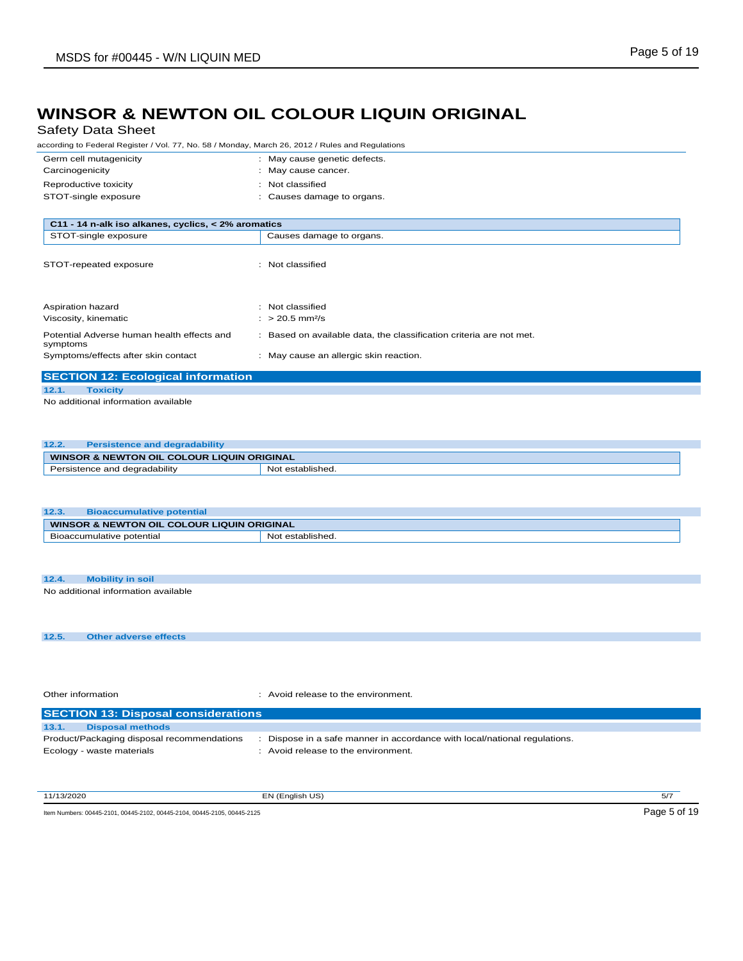Safety Data Sheet

according to Federal Register / Vol. 77, No. 58 / Monday, March 26, 2012 / Rules and Regulations

| Germ cell mutagenicity                              | : May cause genetic defects.                                      |
|-----------------------------------------------------|-------------------------------------------------------------------|
| Carcinogenicity                                     | May cause cancer.                                                 |
| Reproductive toxicity                               | Not classified<br>٠                                               |
| STOT-single exposure                                | Causes damage to organs.                                          |
|                                                     |                                                                   |
| C11 - 14 n-alk iso alkanes, cyclics, < 2% aromatics |                                                                   |
| STOT-single exposure                                | Causes damage to organs.                                          |
|                                                     |                                                                   |
| STOT-repeated exposure                              | Not classified                                                    |
|                                                     |                                                                   |
|                                                     |                                                                   |
| Aspiration hazard                                   | Not classified                                                    |
| Viscosity, kinematic                                | $: > 20.5$ mm <sup>2</sup> /s                                     |
| Potential Adverse human health effects and          | Based on available data, the classification criteria are not met. |
| symptoms                                            |                                                                   |
| Symptoms/effects after skin contact                 | : May cause an allergic skin reaction.                            |
| <b>SECTION 12: Ecological information</b>           |                                                                   |
|                                                     |                                                                   |
| 12.1.<br><b>Toxicity</b>                            |                                                                   |

No additional information available

#### **12.2. Persistence and degradability WINSOR & NEWTON OIL COLOUR LIQUIN ORIGINAL**<br>**Persistence and degradability** | Not established. Persistence and degradability

| 12.3.                                      | <b>Bioaccumulative potential</b> |                  |
|--------------------------------------------|----------------------------------|------------------|
| WINSOR & NEWTON OIL COLOUR LIQUIN ORIGINAL |                                  |                  |
|                                            | Bioaccumulative potential        | Not established. |
|                                            |                                  |                  |

| 12.4. | Mobility in soil                    |  |
|-------|-------------------------------------|--|
|       | No additional information available |  |

**12.5. Other adverse effects**

Other information **contact to the environment.** The environment of the environment.

|       | <b>SECTION 13: Disposal considerations</b> |                                                                         |  |  |
|-------|--------------------------------------------|-------------------------------------------------------------------------|--|--|
| 13.1. | <b>Disposal methods</b>                    |                                                                         |  |  |
|       | Product/Packaging disposal recommendations | Dispose in a safe manner in accordance with local/national regulations. |  |  |
|       | Ecology - waste materials                  | : Avoid release to the environment.                                     |  |  |
|       |                                            |                                                                         |  |  |

11/13/2020 EN (English US) 5/7

Item Numbers: 00445-2101, 00445-2102, 00445-2104, 00445-2105, 00445-2125 Page 5 of 19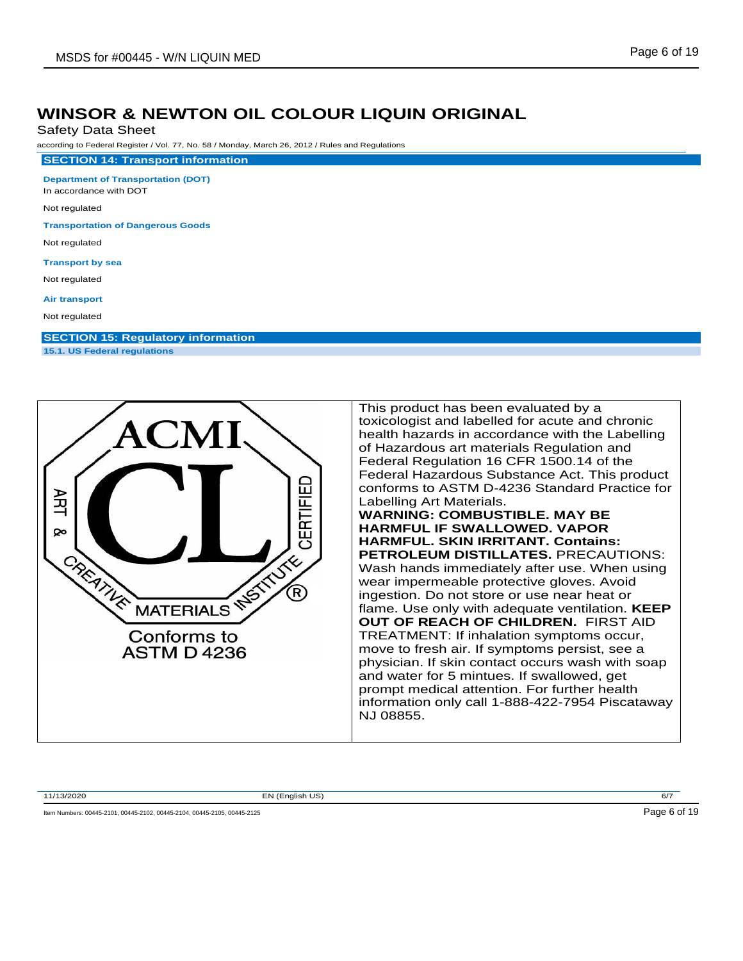Safety Data Sheet

according to Federal Register / Vol. 77, No. 58 / Monday, March 26, 2012 / Rules and Regulations

**Department of Transportation (DOT)**

**SECTION 14: Transport information**

In accordance with DOT

Not regulated

**Transportation of Dangerous Goods**

Not regulated

**Transport by sea**

Not regulated

**Air transport**

Not regulated

**SECTION 15: Regulatory information 15.1. US Federal regulations**



This product has been evaluated by a toxicologist and labelled for acute and chronic health hazards in accordance with the Labelling of Hazardous art materials Regulation and Federal Regulation 16 CFR 1500.14 of the Federal Hazardous Substance Act. This product conforms to ASTM D-4236 Standard Practice for Labelling Art Materials. **WARNING: COMBUSTIBLE. MAY BE HARMFUL IF SWALLOWED. VAPOR HARMFUL. SKIN IRRITANT. Contains: PETROLEUM DISTILLATES.** PRECAUTIONS: Wash hands immediately after use. When using wear impermeable protective gloves. Avoid ingestion. Do not store or use near heat or flame. Use only with adequate ventilation. **KEEP OUT OF REACH OF CHILDREN.** FIRST AID TREATMENT: If inhalation symptoms occur, move to fresh air. If symptoms persist, see a physician. If skin contact occurs wash with soap and water for 5 mintues. If swallowed, get prompt medical attention. For further health information only call 1-888-422-7954 Piscataway NJ 08855.

11/13/2020 EN (English US) 6/7

Item Numbers: 00445-2101, 00445-2102, 00445-2104, 00445-2105, 00445-2125 Page 6 of 19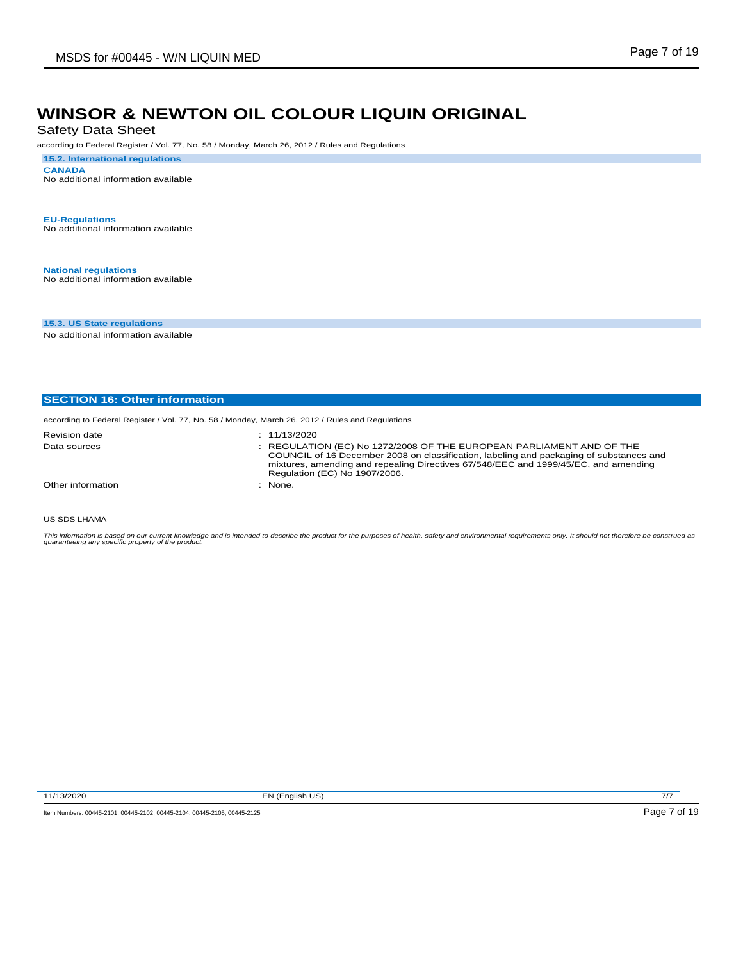Safety Data Sheet

according to Federal Register / Vol. 77, No. 58 / Monday, March 26, 2012 / Rules and Regulations

**15.2. International regulations CANADA** No additional information available

**EU-Regulations** No additional information available

**National regulations** No additional information available

**15.3. US State regulations**

No additional information available

|  |  | <b>SECTION 16: Other information</b> |
|--|--|--------------------------------------|
|--|--|--------------------------------------|

according to Federal Register / Vol. 77, No. 58 / Monday, March 26, 2012 / Rules and Regulations

| <b>Revision date</b> | : 11/13/2020                                                                                                                                                                                                                                                                            |
|----------------------|-----------------------------------------------------------------------------------------------------------------------------------------------------------------------------------------------------------------------------------------------------------------------------------------|
| Data sources         | : REGULATION (EC) No 1272/2008 OF THE EUROPEAN PARLIAMENT AND OF THE<br>COUNCIL of 16 December 2008 on classification, labeling and packaging of substances and<br>mixtures, amending and repealing Directives 67/548/EEC and 1999/45/EC, and amending<br>Regulation (EC) No 1907/2006. |
| Other information    | None.                                                                                                                                                                                                                                                                                   |

US SDS LHAMA

This information is based on our current knowledge and is intended to describe the product for the purposes of health, safety and environmental requirements only. It should not therefore be construed as<br>guaranteeing any sp

11/13/2020 EN (English US) 7/7

Item Numbers: 00445-2101, 00445-2102, 00445-2104, 00445-2105, 00445-2125 Page 7 of 19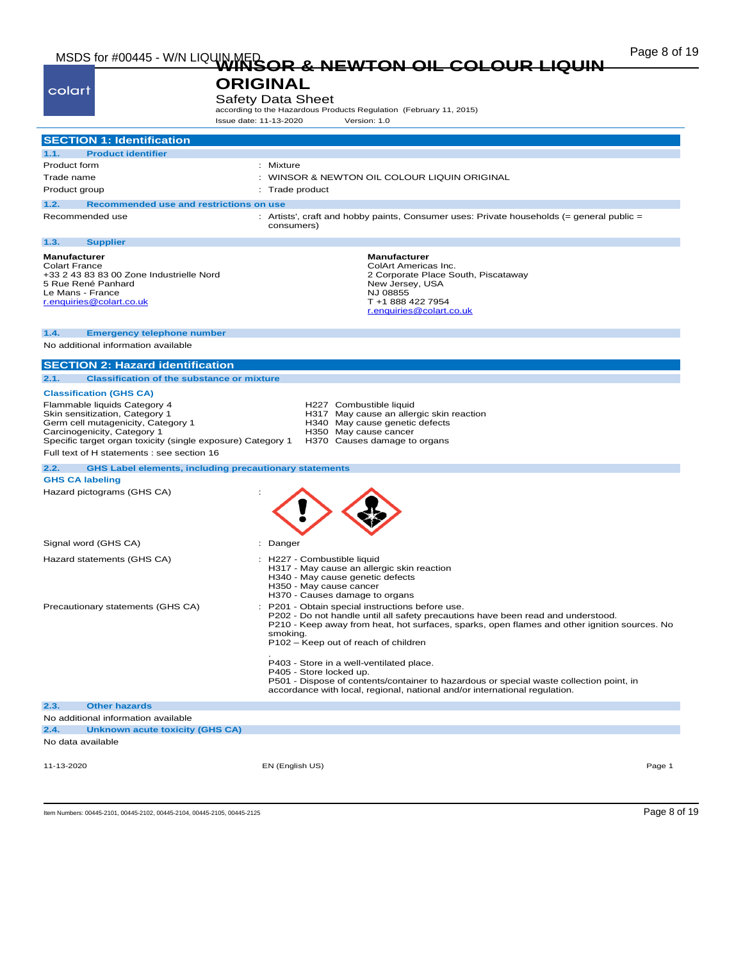# Page 8 of 19<br>MSDS for #00445 - W/N LIQUIN MED<br>**WINSOR & NEWTON OIL COLOUR LIQUIN**

| age 8 of 19 |  |  |
|-------------|--|--|
|             |  |  |

## **ORIGINAL** Safety Data Sheet<br>according to the Hazardous Products Regulation (February 11, 2015)

colart

Issue date: 11-13-2020 Version: 1.0

|                                                                                                                                                                                                                                                  | issue date: 11-13-2020<br>version: 1.u                                                                                                                                                                                                                                                                                                                                                                                                                                                                                                 |
|--------------------------------------------------------------------------------------------------------------------------------------------------------------------------------------------------------------------------------------------------|----------------------------------------------------------------------------------------------------------------------------------------------------------------------------------------------------------------------------------------------------------------------------------------------------------------------------------------------------------------------------------------------------------------------------------------------------------------------------------------------------------------------------------------|
| <b>SECTION 1: Identification</b>                                                                                                                                                                                                                 |                                                                                                                                                                                                                                                                                                                                                                                                                                                                                                                                        |
| <b>Product identifier</b><br>1.1.                                                                                                                                                                                                                |                                                                                                                                                                                                                                                                                                                                                                                                                                                                                                                                        |
| Product form                                                                                                                                                                                                                                     | : Mixture                                                                                                                                                                                                                                                                                                                                                                                                                                                                                                                              |
| Trade name                                                                                                                                                                                                                                       | WINSOR & NEWTON OIL COLOUR LIQUIN ORIGINAL                                                                                                                                                                                                                                                                                                                                                                                                                                                                                             |
| Product group                                                                                                                                                                                                                                    | : Trade product                                                                                                                                                                                                                                                                                                                                                                                                                                                                                                                        |
| Recommended use and restrictions on use<br>1.2.                                                                                                                                                                                                  |                                                                                                                                                                                                                                                                                                                                                                                                                                                                                                                                        |
| Recommended use                                                                                                                                                                                                                                  | : Artists', craft and hobby paints, Consumer uses: Private households (= general public =<br>consumers)                                                                                                                                                                                                                                                                                                                                                                                                                                |
| <b>Supplier</b><br>1.3.                                                                                                                                                                                                                          |                                                                                                                                                                                                                                                                                                                                                                                                                                                                                                                                        |
| <b>Manufacturer</b><br><b>Colart France</b><br>+33 2 43 83 83 00 Zone Industrielle Nord<br>5 Rue René Panhard<br>Le Mans - France<br>r.enquiries@colart.co.uk                                                                                    | <b>Manufacturer</b><br>ColArt Americas Inc.<br>2 Corporate Place South, Piscataway<br>New Jersey, USA<br>NJ 08855<br>T +1 888 422 7954<br>r.enquiries@colart.co.uk                                                                                                                                                                                                                                                                                                                                                                     |
| <b>Emergency telephone number</b><br>1.4.                                                                                                                                                                                                        |                                                                                                                                                                                                                                                                                                                                                                                                                                                                                                                                        |
| No additional information available                                                                                                                                                                                                              |                                                                                                                                                                                                                                                                                                                                                                                                                                                                                                                                        |
| <b>SECTION 2: Hazard identification</b>                                                                                                                                                                                                          |                                                                                                                                                                                                                                                                                                                                                                                                                                                                                                                                        |
| 2.1.<br><b>Classification of the substance or mixture</b>                                                                                                                                                                                        |                                                                                                                                                                                                                                                                                                                                                                                                                                                                                                                                        |
| <b>Classification (GHS CA)</b>                                                                                                                                                                                                                   |                                                                                                                                                                                                                                                                                                                                                                                                                                                                                                                                        |
| Flammable liquids Category 4<br>Skin sensitization, Category 1<br>Germ cell mutagenicity, Category 1<br>Carcinogenicity, Category 1<br>Specific target organ toxicity (single exposure) Category 1<br>Full text of H statements : see section 16 | H227 Combustible liquid<br>H317 May cause an allergic skin reaction<br>H340 May cause genetic defects<br>H350 May cause cancer<br>H370 Causes damage to organs                                                                                                                                                                                                                                                                                                                                                                         |
| 2.2.<br><b>GHS Label elements, including precautionary statements</b>                                                                                                                                                                            |                                                                                                                                                                                                                                                                                                                                                                                                                                                                                                                                        |
| <b>GHS CA labeling</b><br>Hazard pictograms (GHS CA)                                                                                                                                                                                             |                                                                                                                                                                                                                                                                                                                                                                                                                                                                                                                                        |
| Signal word (GHS CA)                                                                                                                                                                                                                             | : Danger                                                                                                                                                                                                                                                                                                                                                                                                                                                                                                                               |
| Hazard statements (GHS CA)                                                                                                                                                                                                                       | : H227 - Combustible liquid<br>H317 - May cause an allergic skin reaction<br>H340 - May cause genetic defects<br>H350 - May cause cancer<br>H370 - Causes damage to organs                                                                                                                                                                                                                                                                                                                                                             |
| Precautionary statements (GHS CA)                                                                                                                                                                                                                | P201 - Obtain special instructions before use.<br>P202 - Do not handle until all safety precautions have been read and understood.<br>P210 - Keep away from heat, hot surfaces, sparks, open flames and other ignition sources. No<br>smoking.<br>P102 - Keep out of reach of children<br>P403 - Store in a well-ventilated place.<br>P405 - Store locked up.<br>P501 - Dispose of contents/container to hazardous or special waste collection point, in<br>accordance with local, regional, national and/or international regulation. |
| 2.3.<br><b>Other hazards</b>                                                                                                                                                                                                                     |                                                                                                                                                                                                                                                                                                                                                                                                                                                                                                                                        |
| No additional information available                                                                                                                                                                                                              |                                                                                                                                                                                                                                                                                                                                                                                                                                                                                                                                        |
| 2.4.<br><b>Unknown acute toxicity (GHS CA)</b>                                                                                                                                                                                                   |                                                                                                                                                                                                                                                                                                                                                                                                                                                                                                                                        |
| No data available                                                                                                                                                                                                                                |                                                                                                                                                                                                                                                                                                                                                                                                                                                                                                                                        |
| 11-13-2020                                                                                                                                                                                                                                       | EN (English US)<br>Page 1                                                                                                                                                                                                                                                                                                                                                                                                                                                                                                              |

Item Numbers: 00445-2101, 00445-2102, 00445-2104, 00445-2105, 00445-2125 Page 8 of 19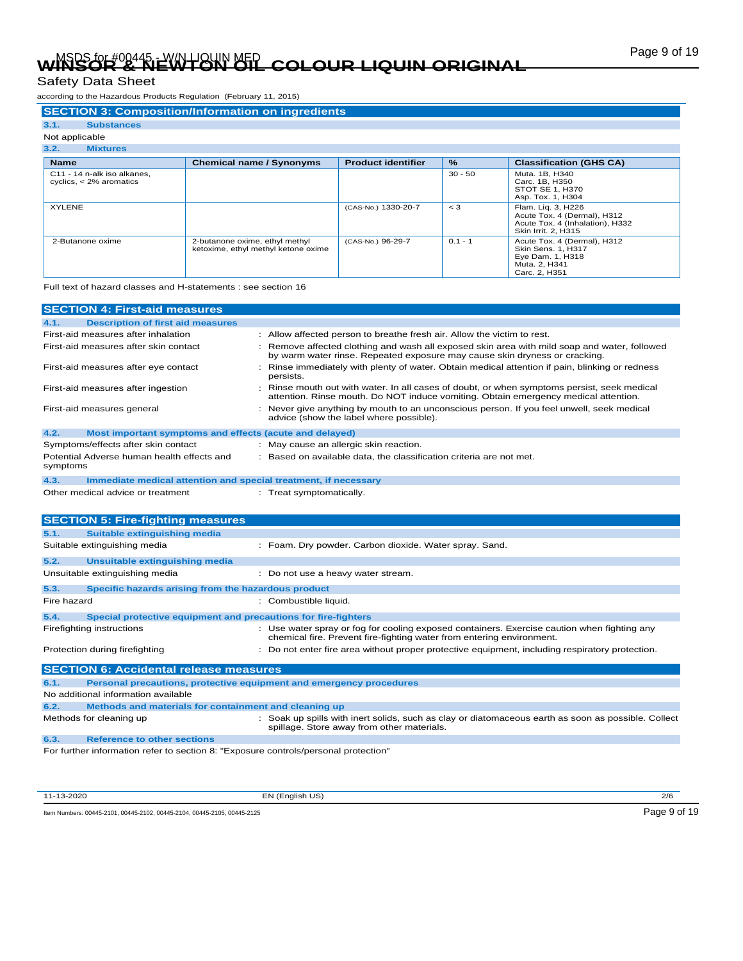# Page 9 of 19 MSDS for #00445 - W/N LIQUIN MED **WINSOR & NEWTON OIL COLOUR LIQUIN ORIGINAL**

### Safety Data Sheet

according to the Hazardous Products Regulation (February 11, 2015)

#### **SECTION 3: Composition/Information on ingredients**

### **3.1. Substances**

#### Not applicable **3.2. Mixtures**

| $\mathbf{J} \cdot \mathbf{L}$<br><b>MIAWI CS</b>         |                                                                       |                           |               |                                                                                                                |
|----------------------------------------------------------|-----------------------------------------------------------------------|---------------------------|---------------|----------------------------------------------------------------------------------------------------------------|
| <b>Name</b>                                              | <b>Chemical name / Synonyms</b>                                       | <b>Product identifier</b> | $\frac{9}{6}$ | <b>Classification (GHS CA)</b>                                                                                 |
| C11 - 14 n-alk iso alkanes.<br>cyclics, $<$ 2% aromatics |                                                                       |                           | $30 - 50$     | Muta. 1B, H340<br>Carc, 1B, H350<br>STOT SE 1, H370<br>Asp. Tox. 1, H304                                       |
| <b>XYLENE</b>                                            |                                                                       | (CAS-No.) 1330-20-7       | $\lt$ 3       | Flam. Lig. 3, H226<br>Acute Tox. 4 (Dermal), H312<br>Acute Tox. 4 (Inhalation), H332<br>Skin Irrit, 2, H315    |
| 2-Butanone oxime                                         | 2-butanone oxime, ethyl methyl<br>ketoxime, ethyl methyl ketone oxime | (CAS-No.) 96-29-7         | $0.1 - 1$     | Acute Tox. 4 (Dermal), H312<br><b>Skin Sens. 1. H317</b><br>Eye Dam. 1, H318<br>Muta, 2, H341<br>Carc. 2. H351 |

Full text of hazard classes and H-statements : see section 16

|                            | <b>SECTION 4: First-aid measures</b>                            |                                                                                                                                                                                    |
|----------------------------|-----------------------------------------------------------------|------------------------------------------------------------------------------------------------------------------------------------------------------------------------------------|
| 4.1.                       | <b>Description of first aid measures</b>                        |                                                                                                                                                                                    |
|                            | First-aid measures after inhalation                             | : Allow affected person to breathe fresh air. Allow the victim to rest.                                                                                                            |
|                            | First-aid measures after skin contact                           | : Remove affected clothing and wash all exposed skin area with mild soap and water, followed<br>by warm water rinse. Repeated exposure may cause skin dryness or cracking.         |
|                            | First-aid measures after eye contact                            | Rinse immediately with plenty of water. Obtain medical attention if pain, blinking or redness<br>persists.                                                                         |
|                            | First-aid measures after ingestion                              | : Rinse mouth out with water. In all cases of doubt, or when symptoms persist, seek medical<br>attention. Rinse mouth. Do NOT induce vomiting. Obtain emergency medical attention. |
| First-aid measures general |                                                                 | : Never give anything by mouth to an unconscious person. If you feel unwell, seek medical<br>advice (show the label where possible).                                               |
| 4.2.                       | Most important symptoms and effects (acute and delayed)         |                                                                                                                                                                                    |
|                            | Symptoms/effects after skin contact                             | : May cause an allergic skin reaction.                                                                                                                                             |
| symptoms                   | Potential Adverse human health effects and                      | : Based on available data, the classification criteria are not met.                                                                                                                |
| 4.3.                       | Immediate medical attention and special treatment, if necessary |                                                                                                                                                                                    |
|                            | Other medical advice or treatment                               | : Treat symptomatically.                                                                                                                                                           |

### **SECTION 5: Fire-fighting measures 5.1. Suitable extinguishing media** Suitable extinguishing media : Foam. Dry powder. Carbon dioxide. Water spray. Sand. **5.2. Unsuitable extinguishing media** Unsuitable extinguishing media : Do not use a heavy water stream. **5.3. Specific hazards arising from the hazardous product** Fire hazard  $\qquad \qquad :$  Combustible liquid. **5.4. Special protective equipment and precautions for fire-fighters** Firefighting instructions : Use water spray or fog for cooling exposed containers. Exercise caution when fighting any chemical fire. Prevent fire-fighting water from entering environment. Protection during firefighting **inter the set of the CO** not enter fire area without proper protective equipment, including respiratory protection. **SECTION 6: Accidental release measures 6.1. Personal precautions, protective equipment and emergency procedures** No additional information available **6.2. Methods and materials for containment and cleaning up** Methods for cleaning up example of the spills with inert solids, such as clay or diatomaceous earth as soon as possible. Collect spillage. Store away from other materials.

**6.3. Reference to other sections**

For further information refer to section 8: "Exposure controls/personal protection"

11-13-2020 EN (English US) 2/6

Item Numbers: 00445-2101, 00445-2102, 00445-2104, 00445-2105, 00445-2125 Page 9 of 19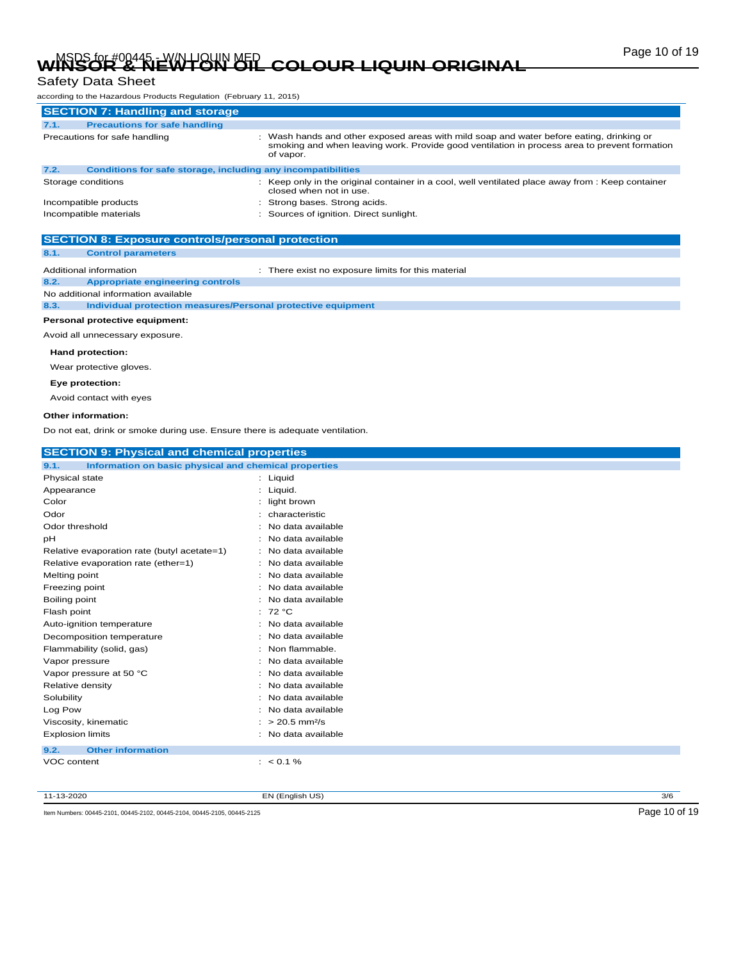# Page 10 of 19 MSDS for #00445 - W/N LIQUIN MED **WINSOR & NEWTON OIL COLOUR LIQUIN ORIGINAL**

### Safety Data Sheet

according to the Hazardous Products Regulation (February 11, 2015)

|      | <b>SECTION 7: Handling and storage</b>                       |                                                                                                                                                                                                     |
|------|--------------------------------------------------------------|-----------------------------------------------------------------------------------------------------------------------------------------------------------------------------------------------------|
| 7.1. | <b>Precautions for safe handling</b>                         |                                                                                                                                                                                                     |
|      | Precautions for safe handling                                | Wash hands and other exposed areas with mild soap and water before eating, drinking or<br>smoking and when leaving work. Provide good ventilation in process area to prevent formation<br>of vapor. |
| 7.2. | Conditions for safe storage, including any incompatibilities |                                                                                                                                                                                                     |
|      | Storage conditions                                           | : Keep only in the original container in a cool, well ventilated place away from : Keep container<br>closed when not in use.                                                                        |
|      | Incompatible products                                        | Strong bases. Strong acids.                                                                                                                                                                         |
|      | Incompatible materials                                       | Sources of ignition. Direct sunlight.                                                                                                                                                               |

### **SECTION 8: Exposure controls/personal protection**

### **8.1. Control parameters**

Additional information **interest in the state of the contract of the contract of the material** : There exist no exposure limits for this material

**8.2. Appropriate engineering controls**

No additional information available

**8.3. Individual protection measures/Personal protective equipment**

### **Personal protective equipment:**

Avoid all unnecessary exposure.

#### **Hand protection:**

Wear protective gloves.

#### **Eye protection:**

Avoid contact with eyes

### **Other information:**

Do not eat, drink or smoke during use. Ensure there is adequate ventilation.

| Information on basic physical and chemical properties |
|-------------------------------------------------------|
|                                                       |
| : Liquid                                              |
| : Liquid.                                             |
| : light brown                                         |
| : characteristic                                      |
| No data available                                     |
| : No data available                                   |
| : No data available                                   |
| : No data available                                   |
| : No data available                                   |
| : No data available                                   |
| : No data available                                   |
| : $72 °C$                                             |
| : No data available                                   |
| : No data available                                   |
| : Non flammable.                                      |
| No data available                                     |
| No data available                                     |
| : No data available                                   |
| : No data available                                   |
| No data available<br>٠.                               |
| $: > 20.5$ mm <sup>2</sup> /s                         |
| : No data available                                   |
|                                                       |
| $: 80.1\%$                                            |
|                                                       |
|                                                       |

11-13-2020 EN (English US) 3/6

Item Numbers: 00445-2101, 00445-2102, 00445-2104, 00445-2105, 00445-2125 **Page 10 of 19**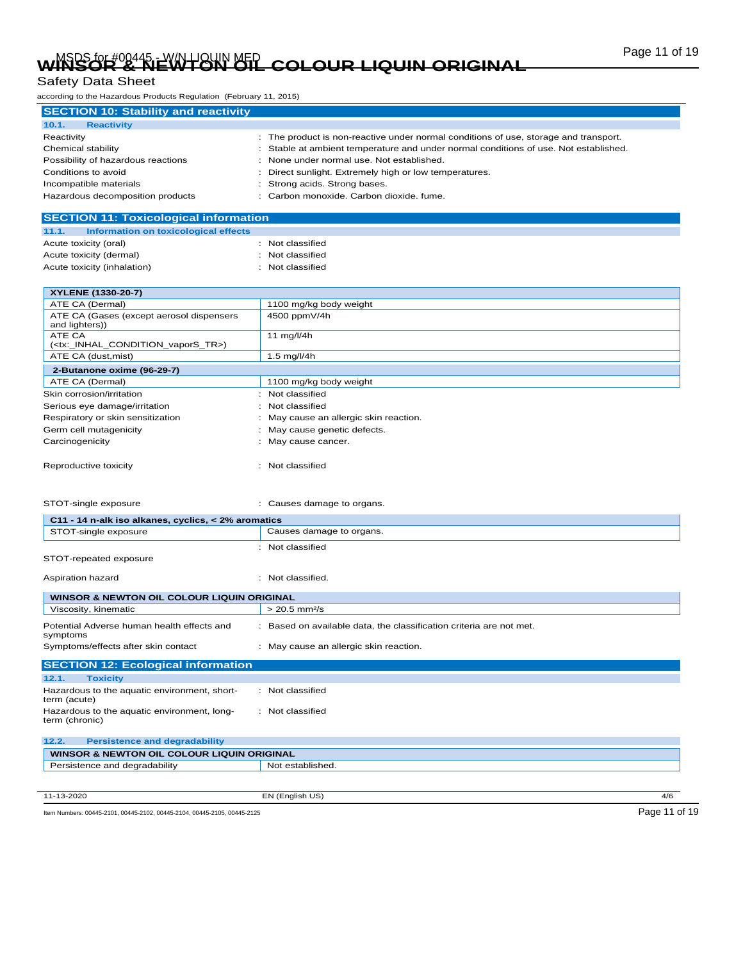# Page 11 of 19 MSDS for #00445 - W/N LIQUIN MED **WINSOR & NEWTON OIL COLOUR LIQUIN ORIGINAL**

### Safety Data Sheet

according to the Hazardous Products Regulation (February 11, 2015)

| <b>SECTION 10: Stability and reactivity</b> |                                                                                      |
|---------------------------------------------|--------------------------------------------------------------------------------------|
| 10.1.<br><b>Reactivity</b>                  |                                                                                      |
| Reactivity                                  | : The product is non-reactive under normal conditions of use, storage and transport. |
| Chemical stability                          | Stable at ambient temperature and under normal conditions of use. Not established.   |
| Possibility of hazardous reactions          | None under normal use. Not established.                                              |
| Conditions to avoid                         | Direct sunlight. Extremely high or low temperatures.                                 |
| Incompatible materials                      | Strong acids. Strong bases.                                                          |
| Hazardous decomposition products            | : Carbon monoxide. Carbon dioxide. fume.                                             |

| <b>SECTION 11: Toxicological information</b>  |                  |
|-----------------------------------------------|------------------|
| Information on toxicological effects<br>11.1. |                  |
| Acute toxicity (oral)                         | : Not classified |
| Acute toxicity (dermal)                       | : Not classified |
| Acute toxicity (inhalation)                   | : Not classified |
|                                               |                  |

| XYLENE (1330-20-7)                                             |                                        |
|----------------------------------------------------------------|----------------------------------------|
| ATE CA (Dermal)                                                | 1100 mg/kg body weight                 |
| ATE CA (Gases (except aerosol dispensers<br>and lighters))     | 4500 ppmV/4h                           |
| ATE CA<br>( <tx: condition="" inhal="" tr="" vapors="">)</tx:> | 11 $mq/l/4h$                           |
| ATE CA (dust, mist)                                            | $1.5$ mg/l/4h                          |
| 2-Butanone oxime (96-29-7)                                     |                                        |
| ATE CA (Dermal)                                                | 1100 mg/kg body weight                 |
| Skin corrosion/irritation                                      | : Not classified                       |
| Serious eye damage/irritation                                  | : Not classified                       |
| Respiratory or skin sensitization                              | : May cause an allergic skin reaction. |
| Germ cell mutagenicity                                         | : May cause genetic defects.           |
| Carcinogenicity                                                | : May cause cancer.                    |
| Reproductive toxicity                                          | Not classified                         |

| STOT-single exposure                                | Causes damage to organs. |  |
|-----------------------------------------------------|--------------------------|--|
| C11 - 14 n-alk iso alkanes, cyclics, < 2% aromatics |                          |  |
| STOT-single exposure                                | Causes damage to organs. |  |
|                                                     | : Not classified         |  |
| STOT-repeated exposure                              |                          |  |
| Aspiration hazard                                   | Not classified.          |  |

| WINSOR & NEWTON OIL COLOUR LIQUIN ORIGINAL             |                                                                   |  |
|--------------------------------------------------------|-------------------------------------------------------------------|--|
| Viscosity, kinematic                                   | $> 20.5$ mm <sup>2</sup> /s                                       |  |
| Potential Adverse human health effects and<br>symptoms | Based on available data, the classification criteria are not met. |  |
| Symptoms/effects after skin contact                    | May cause an allergic skin reaction.                              |  |
| <b>SECTION 12: Ecological information</b>              |                                                                   |  |
| 12.1.<br><b>Toxicity</b>                               |                                                                   |  |

| Hazardous to the aquatic environment, short-<br>term (acute)  | : Not classified |
|---------------------------------------------------------------|------------------|
| Hazardous to the aquatic environment, long-<br>term (chronic) | : Not classified |

| 12.2.<br><b>Persistence and degradability</b> |                        |
|-----------------------------------------------|------------------------|
| WINSOR & NEWTON OIL COLOUR LIQUIN ORIGINAL    |                        |
| Persistence and degradability                 | Not established.       |
|                                               |                        |
|                                               |                        |
| 11-13-2020                                    | EN (English US)<br>4/6 |

Item Numbers: 00445-2101, 00445-2102, 00445-2104, 00445-2105, 00445-2125 Page 11 of 19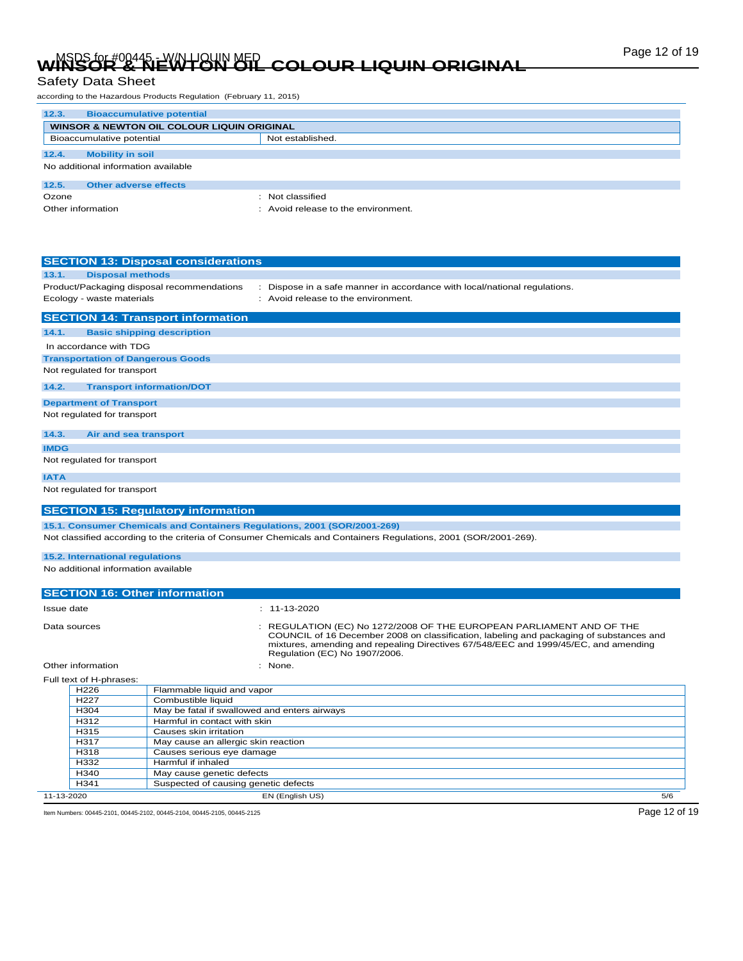# Page 12 of 19 MSDS for #00445 - W/N LIQUIN MED **WINSOR & NEWTON OIL COLOUR LIQUIN ORIGINAL**

according to the Hazardous Products Regulation (February 11, 2015)

| 12.3.<br><b>Bioaccumulative potential</b>  |                                   |  |  |
|--------------------------------------------|-----------------------------------|--|--|
| WINSOR & NEWTON OIL COLOUR LIQUIN ORIGINAL |                                   |  |  |
| Bioaccumulative potential                  | Not established.                  |  |  |
| 12.4.<br><b>Mobility in soil</b>           |                                   |  |  |
| No additional information available        |                                   |  |  |
| 12.5.<br>Other adverse effects             |                                   |  |  |
| Ozone                                      | Not classified                    |  |  |
| Other information                          | Avoid release to the environment. |  |  |

|              |                                          | <b>SECTION 13: Disposal considerations</b>   |                                                                                                                                                               |
|--------------|------------------------------------------|----------------------------------------------|---------------------------------------------------------------------------------------------------------------------------------------------------------------|
| 13.1.        | <b>Disposal methods</b>                  |                                              |                                                                                                                                                               |
|              |                                          | Product/Packaging disposal recommendations   | Dispose in a safe manner in accordance with local/national regulations.<br>÷.                                                                                 |
|              | Ecology - waste materials                |                                              | : Avoid release to the environment.                                                                                                                           |
|              |                                          | <b>SECTION 14: Transport information</b>     |                                                                                                                                                               |
| 14.1.        |                                          | <b>Basic shipping description</b>            |                                                                                                                                                               |
|              | In accordance with TDG                   |                                              |                                                                                                                                                               |
|              | <b>Transportation of Dangerous Goods</b> |                                              |                                                                                                                                                               |
|              | Not regulated for transport              |                                              |                                                                                                                                                               |
| 14.2.        |                                          | <b>Transport information/DOT</b>             |                                                                                                                                                               |
|              | <b>Department of Transport</b>           |                                              |                                                                                                                                                               |
|              | Not regulated for transport              |                                              |                                                                                                                                                               |
|              |                                          |                                              |                                                                                                                                                               |
| 14.3.        | Air and sea transport                    |                                              |                                                                                                                                                               |
| <b>IMDG</b>  |                                          |                                              |                                                                                                                                                               |
|              | Not regulated for transport              |                                              |                                                                                                                                                               |
| <b>IATA</b>  |                                          |                                              |                                                                                                                                                               |
|              |                                          |                                              |                                                                                                                                                               |
|              | Not regulated for transport              |                                              |                                                                                                                                                               |
|              |                                          | <b>SECTION 15: Regulatory information</b>    |                                                                                                                                                               |
|              |                                          |                                              | 15.1. Consumer Chemicals and Containers Regulations, 2001 (SOR/2001-269)                                                                                      |
|              |                                          |                                              | Not classified according to the criteria of Consumer Chemicals and Containers Regulations, 2001 (SOR/2001-269).                                               |
|              |                                          |                                              |                                                                                                                                                               |
|              | 15.2. International regulations          |                                              |                                                                                                                                                               |
|              | No additional information available      |                                              |                                                                                                                                                               |
|              |                                          |                                              |                                                                                                                                                               |
|              |                                          | <b>SECTION 16: Other information</b>         |                                                                                                                                                               |
| Issue date   |                                          |                                              | $: 11 - 13 - 2020$                                                                                                                                            |
|              |                                          |                                              |                                                                                                                                                               |
| Data sources |                                          |                                              | REGULATION (EC) No 1272/2008 OF THE EUROPEAN PARLIAMENT AND OF THE<br>COUNCIL of 16 December 2008 on classification, labeling and packaging of substances and |
|              |                                          |                                              | mixtures, amending and repealing Directives 67/548/EEC and 1999/45/EC, and amending                                                                           |
|              |                                          |                                              | Regulation (EC) No 1907/2006.                                                                                                                                 |
|              | Other information                        |                                              | : None.                                                                                                                                                       |
|              | Full text of H-phrases:                  |                                              |                                                                                                                                                               |
|              | H <sub>226</sub>                         | Flammable liquid and vapor                   |                                                                                                                                                               |
|              | H <sub>227</sub>                         | Combustible liquid                           |                                                                                                                                                               |
|              | H <sub>304</sub>                         | May be fatal if swallowed and enters airways |                                                                                                                                                               |
|              | H312                                     | Harmful in contact with skin                 |                                                                                                                                                               |
|              | H315                                     | Causes skin irritation                       |                                                                                                                                                               |
|              | H317                                     | May cause an allergic skin reaction          |                                                                                                                                                               |
|              | H318                                     | Causes serious eye damage                    |                                                                                                                                                               |
|              | H332                                     | Harmful if inhaled                           |                                                                                                                                                               |

11-13-2020 EN (English US) 5/6

Item Numbers: 00445-2101, 00445-2102, 00445-2104, 00445-2105, 00445-2125 Page 12 of 19

H340 May cause genetic defects

H341 Suspected of causing genetic defects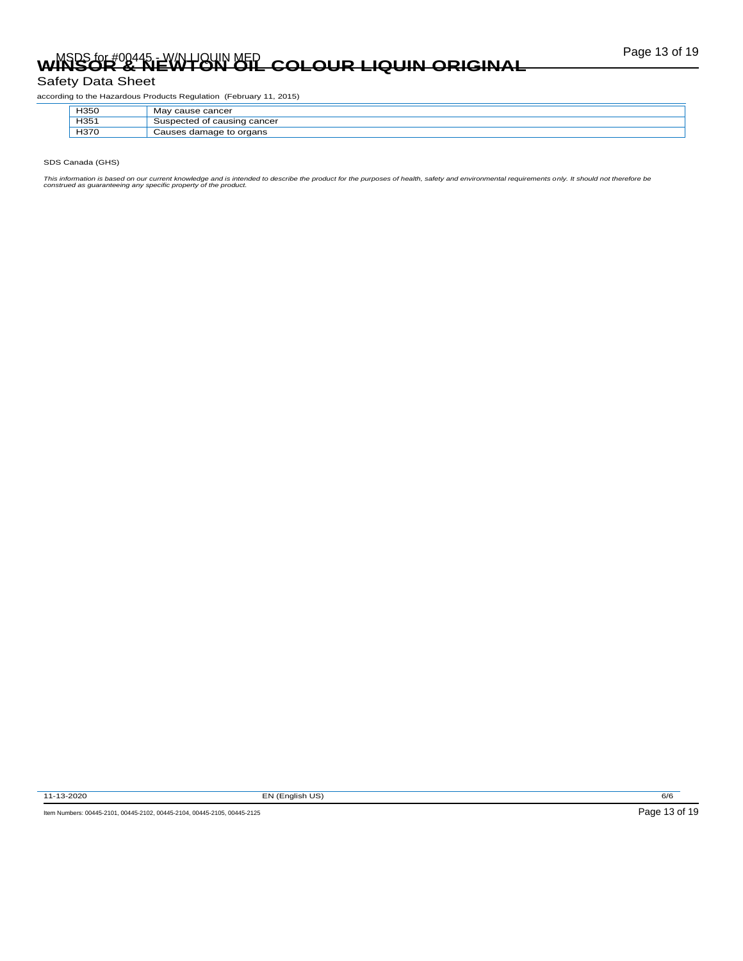# Page 13 of 19 MSDS for #00445 - W/N LIQUIN MED **WINSOR & NEWTON OIL COLOUR LIQUIN ORIGINAL**

### Safety Data Sheet

according to the Hazardous Products Regulation (February 11, 2015)

| H350 | <sup>r</sup> cause cancer<br>Mav                    |
|------|-----------------------------------------------------|
| H351 | f causing cancer<br>$\approx$ ispected or $\approx$ |
| H370 | Causes damage to organs<br>va                       |

SDS Canada (GHS)

This information is based on our current knowledge and is intended to describe the product for the purposes of health, safety and environmental requirements only. It should not therefore be<br>construed as guaranteeing any sp

11-13-2020 EN (English US) 6/6

Item Numbers: 00445-2101, 00445-2102, 00445-2104, 00445-2105, 00445-2125 Page 13 of 19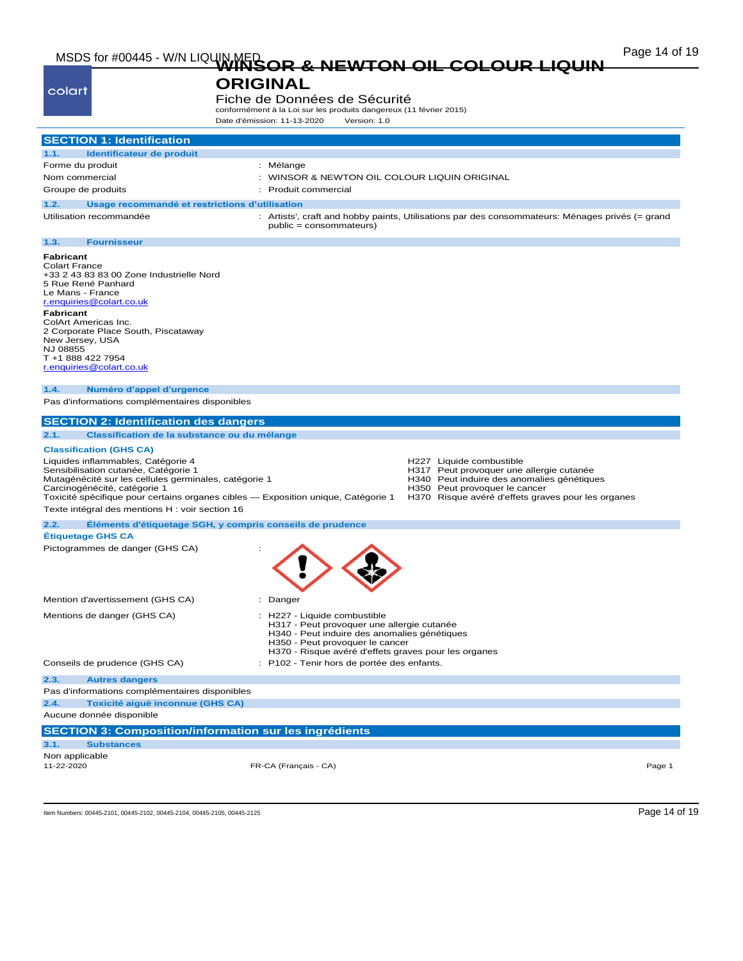# Page 14 of 19 MSDS for #00445 - W/N LIQUIN MED **WINSOR & NEWTON OIL COLOUR LIQUIN**

### **ORIGINAL**

colart

Fiche de Données de Sécurité conformément à la Loi sur les produits dangereux (11 février 2015)

|                                                                                                                                                                                                                                                                                                                                                                   | Date d'émission: 11-13-2020<br>Version: 1.0                                                                                                                                                                           |
|-------------------------------------------------------------------------------------------------------------------------------------------------------------------------------------------------------------------------------------------------------------------------------------------------------------------------------------------------------------------|-----------------------------------------------------------------------------------------------------------------------------------------------------------------------------------------------------------------------|
| <b>SECTION 1: Identification</b>                                                                                                                                                                                                                                                                                                                                  |                                                                                                                                                                                                                       |
|                                                                                                                                                                                                                                                                                                                                                                   |                                                                                                                                                                                                                       |
| Identificateur de produit<br>1.1.<br>Forme du produit                                                                                                                                                                                                                                                                                                             | : Mélange                                                                                                                                                                                                             |
| Nom commercial                                                                                                                                                                                                                                                                                                                                                    | : WINSOR & NEWTON OIL COLOUR LIQUIN ORIGINAL                                                                                                                                                                          |
| Groupe de produits                                                                                                                                                                                                                                                                                                                                                | : Produit commercial                                                                                                                                                                                                  |
|                                                                                                                                                                                                                                                                                                                                                                   |                                                                                                                                                                                                                       |
| Usage recommandé et restrictions d'utilisation<br>1.2.                                                                                                                                                                                                                                                                                                            |                                                                                                                                                                                                                       |
| Utilisation recommandée                                                                                                                                                                                                                                                                                                                                           | : Artists', craft and hobby paints, Utilisations par des consommateurs: Ménages privés (= grand<br>public = consommateurs)                                                                                            |
| <b>Fournisseur</b><br>1.3.                                                                                                                                                                                                                                                                                                                                        |                                                                                                                                                                                                                       |
| <b>Fabricant</b><br><b>Colart France</b><br>+33 2 43 83 83 00 Zone Industrielle Nord<br>5 Rue René Panhard<br>Le Mans - France<br>r.enquiries@colart.co.uk<br><b>Fabricant</b><br>ColArt Americas Inc.<br>2 Corporate Place South, Piscataway<br>New Jersey, USA<br>NJ 08855<br>T +1 888 422 7954<br>r.enquiries@colart.co.uk<br>Numéro d'appel d'urgence<br>1.4. |                                                                                                                                                                                                                       |
| Pas d'informations complémentaires disponibles                                                                                                                                                                                                                                                                                                                    |                                                                                                                                                                                                                       |
| <b>SECTION 2: Identification des dangers</b>                                                                                                                                                                                                                                                                                                                      |                                                                                                                                                                                                                       |
| 2.1.<br>Classification de la substance ou du mélange                                                                                                                                                                                                                                                                                                              |                                                                                                                                                                                                                       |
|                                                                                                                                                                                                                                                                                                                                                                   |                                                                                                                                                                                                                       |
| <b>Classification (GHS CA)</b><br>Liquides inflammables, Catégorie 4<br>Sensibilisation cutanée, Catégorie 1<br>Mutagénécité sur les cellules germinales, catégorie 1<br>Carcinogénécité, catégorie 1<br>Toxicité spécifique pour certains organes cibles - Exposition unique, Catégorie 1<br>Texte intégral des mentions H : voir section 16                     | H227 Liquide combustible<br>H317 Peut provoquer une allergie cutanée<br>H340 Peut induire des anomalies génétiques<br>H350 Peut provoquer le cancer<br>H370 Risque avéré d'effets graves pour les organes             |
| 2.2.                                                                                                                                                                                                                                                                                                                                                              |                                                                                                                                                                                                                       |
| Eléments d'étiquetage SGH, y compris conseils de prudence<br><b>Étiquetage GHS CA</b>                                                                                                                                                                                                                                                                             |                                                                                                                                                                                                                       |
| Pictogrammes de danger (GHS CA)                                                                                                                                                                                                                                                                                                                                   |                                                                                                                                                                                                                       |
| Mention d'avertissement (GHS CA)                                                                                                                                                                                                                                                                                                                                  | : Danger                                                                                                                                                                                                              |
| Mentions de danger (GHS CA)                                                                                                                                                                                                                                                                                                                                       | : H227 - Liquide combustible<br>H317 - Peut provoquer une allergie cutanée<br>H340 - Peut induire des anomalies génétiques<br>H350 - Peut provoquer le cancer<br>H370 - Risque avéré d'effets graves pour les organes |
| Conseils de prudence (GHS CA)                                                                                                                                                                                                                                                                                                                                     | : P102 - Tenir hors de portée des enfants.                                                                                                                                                                            |
| 2.3.<br><b>Autres dangers</b>                                                                                                                                                                                                                                                                                                                                     |                                                                                                                                                                                                                       |
| Pas d'informations complémentaires disponibles                                                                                                                                                                                                                                                                                                                    |                                                                                                                                                                                                                       |
| Toxicité aiguë inconnue (GHS CA)<br>2.4.                                                                                                                                                                                                                                                                                                                          |                                                                                                                                                                                                                       |
| Aucune donnée disponible                                                                                                                                                                                                                                                                                                                                          |                                                                                                                                                                                                                       |
| <b>SECTION 3: Composition/information sur les ingrédients</b>                                                                                                                                                                                                                                                                                                     |                                                                                                                                                                                                                       |
| 3.1.<br><b>Substances</b>                                                                                                                                                                                                                                                                                                                                         |                                                                                                                                                                                                                       |
| Non applicable                                                                                                                                                                                                                                                                                                                                                    |                                                                                                                                                                                                                       |
| 11-22-2020                                                                                                                                                                                                                                                                                                                                                        | FR-CA (Français - CA)<br>Page 1                                                                                                                                                                                       |

Item Numbers: 00445-2101, 00445-2102, 00445-2104, 00445-2105, 00445-2125 Page 14 of 19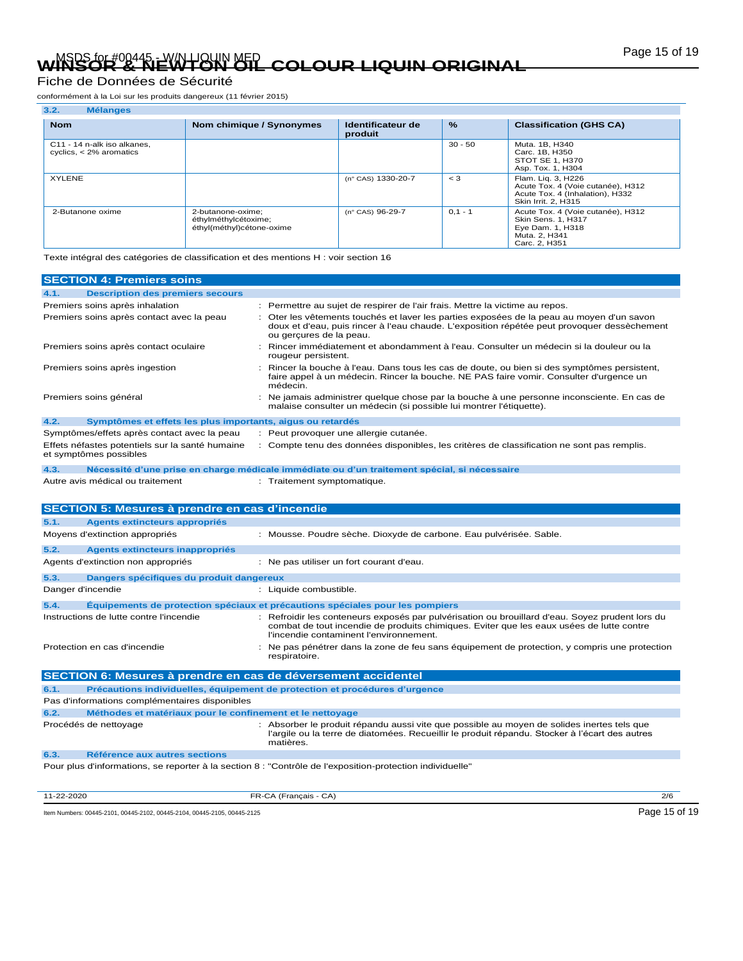# Page 15 of 19 MSDS for #00445 - W/N LIQUIN MED **WINSOR & NEWTON OIL COLOUR LIQUIN ORIGINAL**

### Fiche de Données de Sécurité

conformément à la Loi sur les produits dangereux (11 février 2015)

| 3.2.<br><b>Mélanges</b>                                  |                                                                        |                              |               |                                                                                                                      |
|----------------------------------------------------------|------------------------------------------------------------------------|------------------------------|---------------|----------------------------------------------------------------------------------------------------------------------|
| <b>Nom</b>                                               | Nom chimique / Synonymes                                               | Identificateur de<br>produit | $\frac{9}{6}$ | <b>Classification (GHS CA)</b>                                                                                       |
| C11 - 14 n-alk iso alkanes.<br>cyclics, $<$ 2% aromatics |                                                                        |                              | $30 - 50$     | Muta, 1B, H340<br>Carc. 1B, H350<br>STOT SE 1, H370<br>Asp. Tox. 1, H304                                             |
| <b>XYLENE</b>                                            |                                                                        | (n° CAS) 1330-20-7           | $\lt$ 3       | Flam. Lig. 3, H226<br>Acute Tox. 4 (Voie cutanée), H312<br>Acute Tox. 4 (Inhalation), H332<br>Skin Irrit. 2, H315    |
| 2-Butanone oxime                                         | 2-butanone-oxime;<br>éthylméthylcétoxime;<br>éthyl(méthyl)cétone-oxime | (n° CAS) 96-29-7             | $0.1 - 1$     | Acute Tox. 4 (Voie cutanée), H312<br><b>Skin Sens. 1. H317</b><br>Eye Dam. 1, H318<br>Muta, 2, H341<br>Carc. 2, H351 |

Texte intégral des catégories de classification et des mentions H : voir section 16

| <b>SECTION 4: Premiers soins</b>                                          |                                                                                                                                                                                                                                        |  |  |
|---------------------------------------------------------------------------|----------------------------------------------------------------------------------------------------------------------------------------------------------------------------------------------------------------------------------------|--|--|
| <b>Description des premiers secours</b><br>4.1.                           |                                                                                                                                                                                                                                        |  |  |
| Premiers soins après inhalation                                           | Permettre au sujet de respirer de l'air frais. Mettre la victime au repos.                                                                                                                                                             |  |  |
| Premiers soins après contact avec la peau                                 | : Oter les vêtements touchés et laver les parties exposées de la peau au moyen d'un savon<br>doux et d'eau, puis rincer à l'eau chaude. L'exposition répétée peut provoquer dessèchement<br>ou gercures de la peau.                    |  |  |
| Premiers soins après contact oculaire                                     | Rincer immédiatement et abondamment à l'eau. Consulter un médecin si la douleur ou la<br>rougeur persistent.                                                                                                                           |  |  |
| Premiers soins après ingestion                                            | Rincer la bouche à l'eau. Dans tous les cas de doute, ou bien si des symptômes persistent,<br>faire appel à un médecin. Rincer la bouche. NE PAS faire vomir. Consulter d'urgence un<br>médecin.                                       |  |  |
| Premiers soins général                                                    | Ne jamais administrer quelque chose par la bouche à une personne inconsciente. En cas de<br>malaise consulter un médecin (si possible lui montrer l'étiquette).                                                                        |  |  |
| 4.2.<br>Symptômes et effets les plus importants, aigus ou retardés        |                                                                                                                                                                                                                                        |  |  |
| Symptômes/effets après contact avec la peau                               | : Peut provoquer une allergie cutanée.                                                                                                                                                                                                 |  |  |
| Effets néfastes potentiels sur la santé humaine<br>et symptômes possibles | : Compte tenu des données disponibles, les critères de classification ne sont pas remplis.                                                                                                                                             |  |  |
| 4.3.                                                                      | Nécessité d'une prise en charge médicale immédiate ou d'un traitement spécial, si nécessaire                                                                                                                                           |  |  |
| Autre avis médical ou traitement                                          | : Traitement symptomatique.                                                                                                                                                                                                            |  |  |
| <b>SECTION 5: Mesures à prendre en cas d'incendie</b>                     |                                                                                                                                                                                                                                        |  |  |
| 5.1.<br><b>Agents extincteurs appropriés</b>                              |                                                                                                                                                                                                                                        |  |  |
| Moyens d'extinction appropriés                                            | : Mousse. Poudre sèche. Dioxyde de carbone. Eau pulvérisée. Sable.                                                                                                                                                                     |  |  |
| 5.2.<br><b>Agents extincteurs inappropriés</b>                            |                                                                                                                                                                                                                                        |  |  |
| Agents d'extinction non appropriés                                        | : Ne pas utiliser un fort courant d'eau.                                                                                                                                                                                               |  |  |
| Dangers spécifiques du produit dangereux<br>5.3.                          |                                                                                                                                                                                                                                        |  |  |
| Danger d'incendie                                                         | : Liquide combustible.                                                                                                                                                                                                                 |  |  |
| 5.4.                                                                      | Equipements de protection spéciaux et précautions spéciales pour les pompiers                                                                                                                                                          |  |  |
| Instructions de lutte contre l'incendie                                   | : Refroidir les conteneurs exposés par pulvérisation ou brouillard d'eau. Soyez prudent lors du<br>combat de tout incendie de produits chimiques. Eviter que les eaux usées de lutte contre<br>l'incendie contaminent l'environnement. |  |  |
| Protection en cas d'incendie                                              | : Ne pas pénétrer dans la zone de feu sans équipement de protection, y compris une protection<br>respiratoire.                                                                                                                         |  |  |
| SECTION 6: Mesures à prendre en cas de déversement accidentel             |                                                                                                                                                                                                                                        |  |  |
| 6.1.                                                                      | Précautions individuelles, équipement de protection et procédures d'urgence                                                                                                                                                            |  |  |
| Pas d'informations complémentaires disponibles                            |                                                                                                                                                                                                                                        |  |  |
| 6.2.<br>Méthodes et matériaux pour le confinement et le nettoyage         |                                                                                                                                                                                                                                        |  |  |
| Procédés de nettoyage                                                     | Absorber le produit répandu aussi vite que possible au moyen de solides inertes tels que<br>l'argile ou la terre de diatomées. Recueillir le produit répandu. Stocker à l'écart des autres<br>matières.                                |  |  |
| 6.3.<br>Référence aux autres sections                                     |                                                                                                                                                                                                                                        |  |  |
|                                                                           | Pour plus d'informations, se reporter à la section 8 : "Contrôle de l'exposition-protection individuelle"                                                                                                                              |  |  |

11-22-2020 FR-CA (Français - CA) 2/6

Item Numbers: 00445-2101, 00445-2102, 00445-2104, 00445-2105, 00445-2125 Page 15 of 19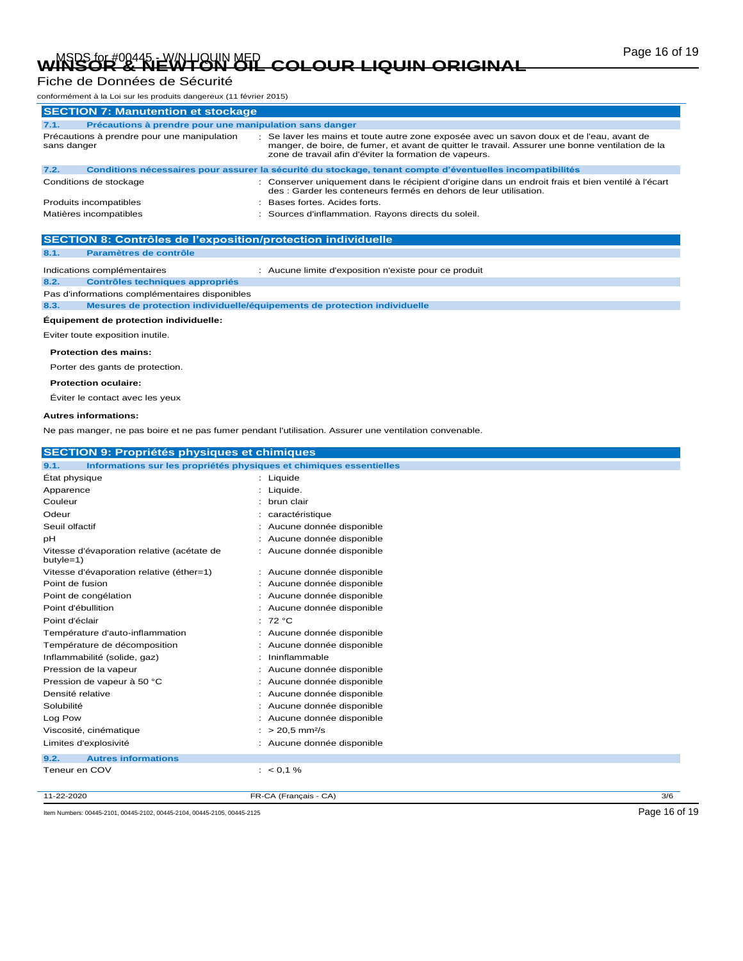# Page 16 of 19 MSDS for #00445 - W/N LIQUIN MED **WINSOR & NEWTON OIL COLOUR LIQUIN ORIGINAL**

### Fiche de Données de Sécurité

| conformément à la Loi sur les produits dangereux (11 février 2015)                                                                                                                                                                                                                                                   |                                                                                                                                                                         |  |  |
|----------------------------------------------------------------------------------------------------------------------------------------------------------------------------------------------------------------------------------------------------------------------------------------------------------------------|-------------------------------------------------------------------------------------------------------------------------------------------------------------------------|--|--|
| <b>SECTION 7: Manutention et stockage</b>                                                                                                                                                                                                                                                                            |                                                                                                                                                                         |  |  |
| Précautions à prendre pour une manipulation sans danger<br>7.1.                                                                                                                                                                                                                                                      |                                                                                                                                                                         |  |  |
| : Se laver les mains et toute autre zone exposée avec un savon doux et de l'eau, avant de<br>Précautions à prendre pour une manipulation<br>manger, de boire, de fumer, et avant de quitter le travail. Assurer une bonne ventilation de la<br>sans danger<br>zone de travail afin d'éviter la formation de vapeurs. |                                                                                                                                                                         |  |  |
| 7.2.                                                                                                                                                                                                                                                                                                                 | Conditions nécessaires pour assurer la sécurité du stockage, tenant compte d'éventuelles incompatibilités                                                               |  |  |
| Conditions de stockage                                                                                                                                                                                                                                                                                               | : Conserver uniquement dans le récipient d'origine dans un endroit frais et bien ventilé à l'écart<br>des : Garder les conteneurs fermés en dehors de leur utilisation. |  |  |
| Produits incompatibles<br>: Bases fortes, Acides forts.                                                                                                                                                                                                                                                              |                                                                                                                                                                         |  |  |
| Matières incompatibles<br>: Sources d'inflammation. Rayons directs du soleil.                                                                                                                                                                                                                                        |                                                                                                                                                                         |  |  |
|                                                                                                                                                                                                                                                                                                                      |                                                                                                                                                                         |  |  |

### **SECTION 8: Contrôles de l'exposition/protection individuelle**

### **8.1. Paramètres de contrôle**

Indications complémentaires : Aucune limite d'exposition n'existe pour ce produit

### **8.2. Contrôles techniques appropriés**

Pas d'informations complémentaires disponibles

**8.3. Mesures de protection individuelle/équipements de protection individuelle**

### **Équipement de protection individuelle:**

Eviter toute exposition inutile.

#### **Protection des mains:**

Porter des gants de protection.

#### **Protection oculaire:**

Éviter le contact avec les yeux

#### **Autres informations:**

Ne pas manger, ne pas boire et ne pas fumer pendant l'utilisation. Assurer une ventilation convenable.

| <b>SECTION 9: Propriétés physiques et chimiques</b>                      |                                                                     |               |
|--------------------------------------------------------------------------|---------------------------------------------------------------------|---------------|
| 9.1.                                                                     | Informations sur les propriétés physiques et chimiques essentielles |               |
| État physique                                                            | : Liquide                                                           |               |
| Apparence                                                                | : Liquide.                                                          |               |
| Couleur                                                                  | brun clair                                                          |               |
| Odeur                                                                    | : caractéristique                                                   |               |
| Seuil olfactif                                                           | : Aucune donnée disponible                                          |               |
| pH                                                                       | : Aucune donnée disponible                                          |               |
| Vitesse d'évaporation relative (acétate de<br>butyle=1)                  | : Aucune donnée disponible                                          |               |
| Vitesse d'évaporation relative (éther=1)                                 | : Aucune donnée disponible                                          |               |
| Point de fusion                                                          | : Aucune donnée disponible                                          |               |
| Point de congélation                                                     | : Aucune donnée disponible                                          |               |
| Point d'ébullition                                                       | Aucune donnée disponible                                            |               |
| Point d'éclair                                                           | : $72 °C$                                                           |               |
| Température d'auto-inflammation                                          | : Aucune donnée disponible                                          |               |
| Température de décomposition                                             | : Aucune donnée disponible                                          |               |
| Inflammabilité (solide, gaz)                                             | : Ininflammable                                                     |               |
| Pression de la vapeur                                                    | : Aucune donnée disponible                                          |               |
| Pression de vapeur à 50 °C                                               | : Aucune donnée disponible                                          |               |
| Densité relative                                                         | : Aucune donnée disponible                                          |               |
| Solubilité                                                               | : Aucune donnée disponible                                          |               |
| Log Pow                                                                  | : Aucune donnée disponible                                          |               |
| Viscosité, cinématique                                                   | $: > 20.5$ mm <sup>2</sup> /s                                       |               |
| Limites d'explosivité                                                    | : Aucune donnée disponible                                          |               |
| 9.2.<br><b>Autres informations</b>                                       |                                                                     |               |
| Teneur en COV                                                            | $: 60, 1\%$                                                         |               |
| 11-22-2020                                                               | FR-CA (Français - CA)                                               | 3/6           |
| Item Numbers: 00445-2101, 00445-2102, 00445-2104, 00445-2105, 00445-2125 |                                                                     | Page 16 of 19 |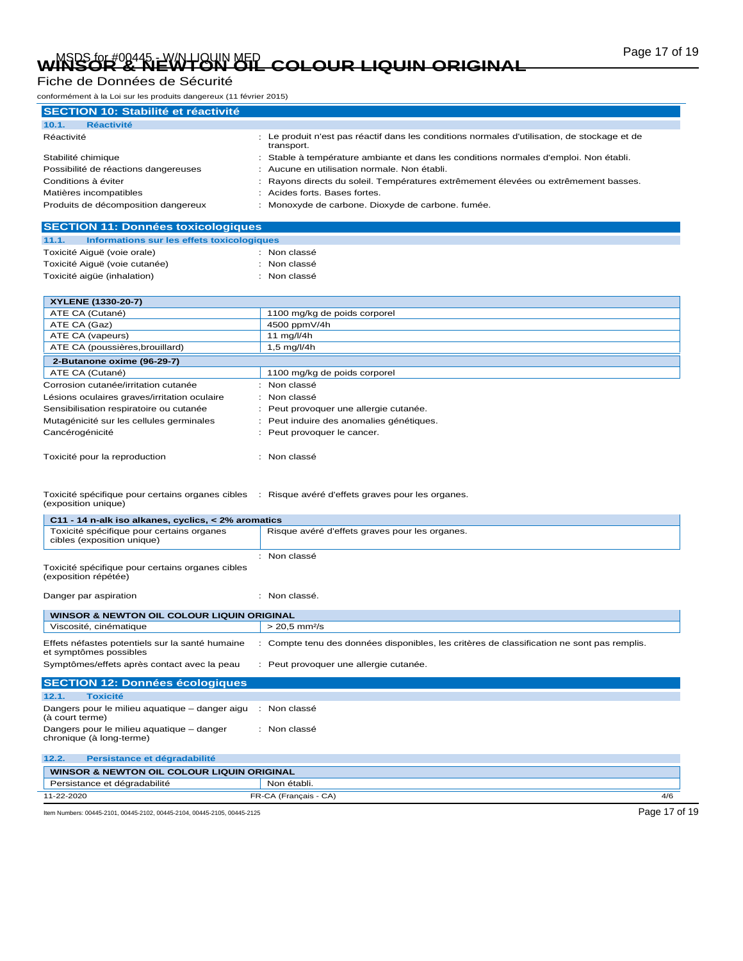# Page 17 of 19 MSDS for #00445 - W/N LIQUIN MED **WINSOR & NEWTON OIL COLOUR LIQUIN ORIGINAL**

### Fiche de Données de Sécurité

| Fiche de Donnees de Secunie                                                                                              |                                                                                                            |
|--------------------------------------------------------------------------------------------------------------------------|------------------------------------------------------------------------------------------------------------|
| conformément à la Loi sur les produits dangereux (11 février 2015)                                                       |                                                                                                            |
| <b>SECTION 10: Stabilité et réactivité</b>                                                                               |                                                                                                            |
| 10.1.<br><b>Réactivité</b>                                                                                               |                                                                                                            |
| Réactivité                                                                                                               | : Le produit n'est pas réactif dans les conditions normales d'utilisation, de stockage et de<br>transport. |
| Stabilité chimique                                                                                                       | Stable à température ambiante et dans les conditions normales d'emploi. Non établi.                        |
| Possibilité de réactions dangereuses                                                                                     | Aucune en utilisation normale. Non établi.                                                                 |
| Conditions à éviter                                                                                                      | Rayons directs du soleil. Températures extrêmement élevées ou extrêmement basses.                          |
| Matières incompatibles                                                                                                   | Acides forts. Bases fortes.                                                                                |
| Produits de décomposition dangereux                                                                                      | Monoxyde de carbone. Dioxyde de carbone. fumée.                                                            |
| <b>SECTION 11: Données toxicologiques</b>                                                                                |                                                                                                            |
| 11.1.<br>Informations sur les effets toxicologiques                                                                      |                                                                                                            |
| Toxicité Aiquë (voie orale)                                                                                              | : Non classé                                                                                               |
| Toxicité Aiguë (voie cutanée)                                                                                            | Non classé                                                                                                 |
| Toxicité aigüe (inhalation)                                                                                              | : Non classé                                                                                               |
| XYLENE (1330-20-7)                                                                                                       |                                                                                                            |
| ATE CA (Cutané)                                                                                                          | 1100 mg/kg de poids corporel                                                                               |
| ATE CA (Gaz)                                                                                                             | 4500 ppmV/4h                                                                                               |
| ATE CA (vapeurs)                                                                                                         | 11 mg/l/4h                                                                                                 |
| ATE CA (poussières, brouillard)                                                                                          | 1,5 mg/l/4h                                                                                                |
| 2-Butanone oxime (96-29-7)                                                                                               |                                                                                                            |
| ATE CA (Cutané)                                                                                                          | 1100 mg/kg de poids corporel                                                                               |
| Corrosion cutanée/irritation cutanée                                                                                     | : Non classé                                                                                               |
| Lésions oculaires graves/irritation oculaire                                                                             | Non classé                                                                                                 |
| Sensibilisation respiratoire ou cutanée                                                                                  | Peut provoquer une allergie cutanée.                                                                       |
| Mutagénicité sur les cellules germinales                                                                                 | Peut induire des anomalies génétiques.                                                                     |
| Cancérogénicité                                                                                                          | Peut provoquer le cancer.                                                                                  |
| Toxicité pour la reproduction                                                                                            | : Non classé                                                                                               |
| Toxicité spécifique pour certains organes cibles : Risque avéré d'effets graves pour les organes.<br>(exposition unique) |                                                                                                            |
| C11 - 14 n-alk iso alkanes, cyclics, < 2% aromatics                                                                      |                                                                                                            |
| Toxicité spécifique pour certains organes<br>cibles (exposition unique)                                                  | Risque avéré d'effets graves pour les organes.                                                             |
|                                                                                                                          | : Non classé                                                                                               |
| Toxicité spécifique pour certains organes cibles<br>(exposition répétée)                                                 |                                                                                                            |
| Danger par aspiration                                                                                                    | : Non classé.                                                                                              |
| <b>WINSOR &amp; NEWTON OIL COLOUR LIQUIN ORIGINAL</b>                                                                    |                                                                                                            |
| Viscosité, cinématique                                                                                                   | $> 20,5$ mm <sup>2</sup> /s                                                                                |
| Effets néfastes potentiels sur la santé humaine<br>et symptômes possibles                                                | : Compte tenu des données disponibles, les critères de classification ne sont pas remplis.                 |
| Symptômes/effets après contact avec la peau                                                                              | : Peut provoquer une allergie cutanée.                                                                     |
| <b>SECTION 12: Données écologiques</b>                                                                                   |                                                                                                            |
| 12.1.<br><b>Toxicité</b>                                                                                                 |                                                                                                            |
| Dangers pour le milieu aquatique – danger aigu<br>(à court terme)                                                        | : Non classé                                                                                               |
| Dangers pour le milieu aquatique - danger<br>chronique (à long-terme)                                                    | : Non classé                                                                                               |
| 12.2.<br>Persistance et dégradabilité                                                                                    |                                                                                                            |
| WINSOR & NEWTON OIL COLOUR LIQUIN ORIGINAL                                                                               |                                                                                                            |

| WINSOR & NEWTON OIL COLOUR LIQUIN ORIGINAL                               |                       |               |
|--------------------------------------------------------------------------|-----------------------|---------------|
| Persistance et dégradabilité                                             | Non établi.           |               |
| 11-22-2020                                                               | FR-CA (Français - CA) | 4/6           |
| ltem Numbers: 00445-2101, 00445-2102, 00445-2104, 00445-2105, 00445-2125 |                       | Page 17 of 19 |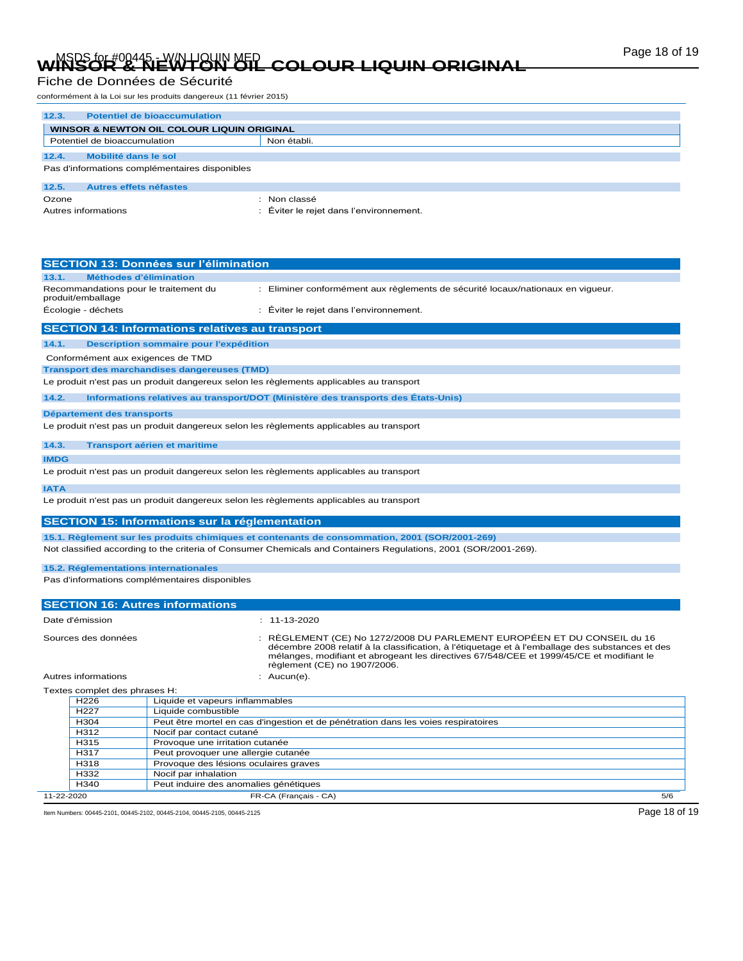# Page 18 of 19 MSDS for #00445 - W/N LIQUIN MED **WINSOR & NEWTON OIL COLOUR LIQUIN ORIGINAL**

### Fiche de Données de Sécurité

conformément à la Loi sur les produits dangereux (11 février 2015)

| 12.3.                                      | <b>Potentiel de bioaccumulation</b>            |                                       |
|--------------------------------------------|------------------------------------------------|---------------------------------------|
| WINSOR & NEWTON OIL COLOUR LIQUIN ORIGINAL |                                                |                                       |
|                                            | Potentiel de bioaccumulation                   | Non établi.                           |
|                                            |                                                |                                       |
| 12.4.                                      | Mobilité dans le sol                           |                                       |
|                                            | Pas d'informations complémentaires disponibles |                                       |
| 12.5.                                      | Autres effets néfastes                         |                                       |
| Ozone                                      |                                                | Non classé                            |
|                                            | Autres informations                            | Éviter le rejet dans l'environnement. |

| <b>SECTION 13: Données sur l'élimination</b>                                            |                                                                                                                 |
|-----------------------------------------------------------------------------------------|-----------------------------------------------------------------------------------------------------------------|
| Méthodes d'élimination<br>13.1.                                                         |                                                                                                                 |
| Recommandations pour le traitement du<br>produit/emballage                              | : Eliminer conformément aux règlements de sécurité locaux/nationaux en vigueur.                                 |
| Écologie - déchets                                                                      | Éviter le rejet dans l'environnement.                                                                           |
| <b>SECTION 14: Informations relatives au transport</b>                                  |                                                                                                                 |
| 14.1.<br>Description sommaire pour l'expédition                                         |                                                                                                                 |
| Conformément aux exigences de TMD                                                       |                                                                                                                 |
| <b>Transport des marchandises dangereuses (TMD)</b>                                     |                                                                                                                 |
| Le produit n'est pas un produit dangereux selon les règlements applicables au transport |                                                                                                                 |
| 14.2.                                                                                   | Informations relatives au transport/DOT (Ministère des transports des États-Unis)                               |
| Département des transports                                                              |                                                                                                                 |
| Le produit n'est pas un produit dangereux selon les règlements applicables au transport |                                                                                                                 |
| 14.3.<br><b>Transport aérien et maritime</b>                                            |                                                                                                                 |
| <b>IMDG</b>                                                                             |                                                                                                                 |
| Le produit n'est pas un produit dangereux selon les règlements applicables au transport |                                                                                                                 |
| <b>IATA</b>                                                                             |                                                                                                                 |
| Le produit n'est pas un produit dangereux selon les règlements applicables au transport |                                                                                                                 |
| <b>SECTION 15: Informations sur la réglementation</b>                                   |                                                                                                                 |
|                                                                                         | 15.1. Règlement sur les produits chimiques et contenants de consommation, 2001 (SOR/2001-269)                   |
|                                                                                         | Not classified according to the criteria of Consumer Chemicals and Containers Regulations, 2001 (SOR/2001-269). |
| 15.2. Réglementations internationales                                                   |                                                                                                                 |

Pas d'informations complémentaires disponibles

|                                                     |                               | <b>SECTION 16: Autres informations</b>                                                                                                                                                                                                                                                                  |
|-----------------------------------------------------|-------------------------------|---------------------------------------------------------------------------------------------------------------------------------------------------------------------------------------------------------------------------------------------------------------------------------------------------------|
|                                                     | Date d'émission               | $: 11 - 13 - 2020$                                                                                                                                                                                                                                                                                      |
| Sources des données                                 |                               | : RÈGLEMENT (CE) No 1272/2008 DU PARLEMENT EUROPÉEN ET DU CONSEIL du 16<br>décembre 2008 relatif à la classification, à l'étiquetage et à l'emballage des substances et des<br>mélanges, modifiant et abrogeant les directives 67/548/CEE et 1999/45/CE et modifiant le<br>règlement (CE) no 1907/2006. |
| Autres informations                                 |                               | : $Aucun(e)$ .                                                                                                                                                                                                                                                                                          |
|                                                     | Textes complet des phrases H: |                                                                                                                                                                                                                                                                                                         |
| Liquide et vapeurs inflammables<br>H <sub>226</sub> |                               |                                                                                                                                                                                                                                                                                                         |

| 11-22-2020 |                   | FR-CA (Français - CA)                                                              | 5/6 |
|------------|-------------------|------------------------------------------------------------------------------------|-----|
|            | H340              | Peut induire des anomalies génétiques                                              |     |
|            | H332              | Nocif par inhalation                                                               |     |
|            | H318              | Provoque des lésions oculaires graves                                              |     |
|            | H317              | Peut provoquer une allergie cutanée                                                |     |
|            | H315              | Provoque une irritation cutanée                                                    |     |
|            | H312              | Nocif par contact cutané                                                           |     |
|            | H <sub>304</sub>  | Peut être mortel en cas d'ingestion et de pénétration dans les voies respiratoires |     |
|            | H <sub>22</sub> 7 | Liquide combustible                                                                |     |
|            |                   |                                                                                    |     |

Item Numbers: 00445-2101, 00445-2102, 00445-2104, 00445-2105, 00445-2125 Page 18 of 19